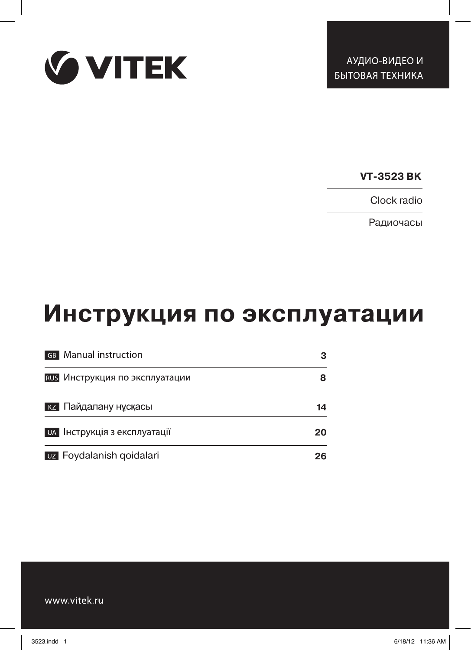

**VT-3523 BK**

Clock radio

Радиочасы

# Инструкция по эксплуатации

| <b>GB</b> Manual instruction        | 3  |
|-------------------------------------|----|
| RUS Инструкция по эксплуатации      | 8  |
| <b>кz</b> Пайдалану нұсқасы         | 14 |
| <b>UA</b> Інструкція з експлуатації | 20 |
| <b>UZ</b> Foydalanish goidalari     | 26 |

www.vitek.ru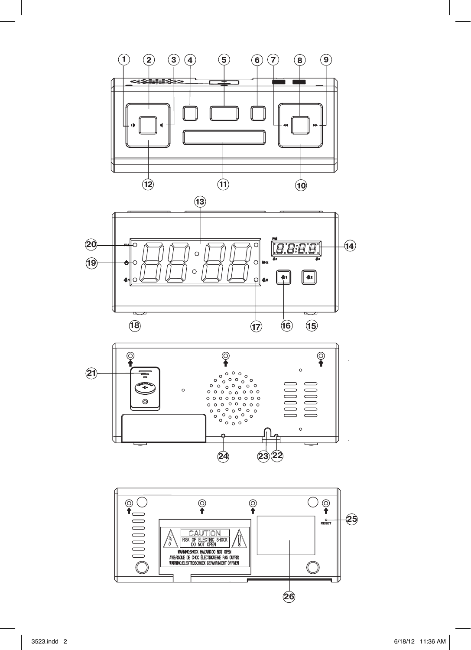





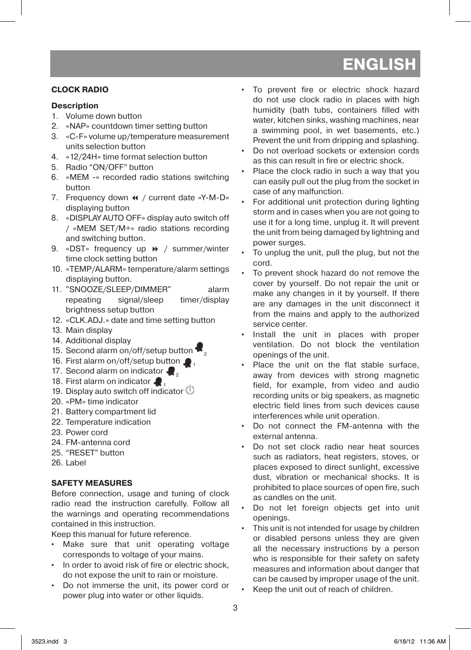#### **CLOCK RADIO**

#### **Description**

- 1. Volume down button
- 2. «NAP» countdown timer setting button
- 3. «C-F» volume up/temperature measurement units selection button
- 4. «12/24H» time format selection button
- 5. Radio "ON/OFF" button
- 6. «MEM -» recorded radio stations switching button
- 7. Frequency down  $\triangleleft$  / current date «Y-M-D» displaying button
- 8. «DISPLAY AUTO OFF» display auto switch off / «MEM SET/M+» radio stations recording and switching button.
- 9. «DST» frequency up  $\rightarrow$  / summer/winter time clock setting button
- 10. «TEMP/ALARM» temperature/alarm settings displaying button.
- 11. "SNOOZE/SLEEP/DIMMER" alarm repeating signal/sleep timer/display brightness setup button
- 12. «CLK.ADJ.» date and time setting button
- 13. Main display
- 14. Additional display
- 15. Second alarm on/off/setup button
- 16. First alarm on/off/setup button  $\bullet$
- 17. Second alarm on indicator  $\blacksquare$ .
- 18. First alarm on indicator  $\blacksquare$
- 19. Display auto switch off indicator  $\mathbb O$
- 20. «PM» time indicator
- 21. Battery compartment lid
- 22. Temperature indication
- 23. Power cord
- 24. FM-antenna cord
- 25. "RESET" button
- 26. Label

# **SAFETY MEASURES**

Before connection, usage and tuning of clock radio read the instruction carefully. Follow all the warnings and operating recommendations contained in this instruction.

Keep this manual for future reference.

- Make sure that unit operating voltage corresponds to voltage of your mains.
- In order to avoid risk of fire or electric shock, do not expose the unit to rain or moisture.
- • Do not immerse the unit, its power cord or power plug into water or other liquids.
- • To prevent fire or electric shock hazard do not use clock radio in places with high humidity (bath tubs, containers filled with water, kitchen sinks, washing machines, near a swimming pool, in wet basements, etc.) Prevent the unit from dripping and splashing.
- Do not overload sockets or extension cords as this can result in fire or electric shock.
- Place the clock radio in such a way that you can easily pull out the plug from the socket in case of any malfunction.
- • For additional unit protection during lighting storm and in cases when you are not going to use it for a long time, unplug it. It will prevent the unit from being damaged by lightning and power surges.
- To unplug the unit, pull the plug, but not the cord.
- To prevent shock hazard do not remove the cover by yourself. Do not repair the unit or make any changes in it by yourself. If there are any damages in the unit disconnect it from the mains and apply to the authorized service center.
- Install the unit in places with proper ventilation. Do not block the ventilation openings of the unit.
- Place the unit on the flat stable surface, away from devices with strong magnetic field, for example, from video and audio recording units or big speakers, as magnetic electric field lines from such devices cause interferences while unit operation.
- Do not connect the FM-antenna with the external antenna.
- Do not set clock radio near heat sources such as radiators, heat registers, stoves, or places exposed to direct sunlight, excessive dust, vibration or mechanical shocks. It is prohibited to place sources of open fire, such as candles on the unit.
- Do not let foreign objects get into unit openings.
- This unit is not intended for usage by children or disabled persons unless they are given all the necessary instructions by a person who is responsible for their safety on safety measures and information about danger that can be caused by improper usage of the unit.
- Keep the unit out of reach of children.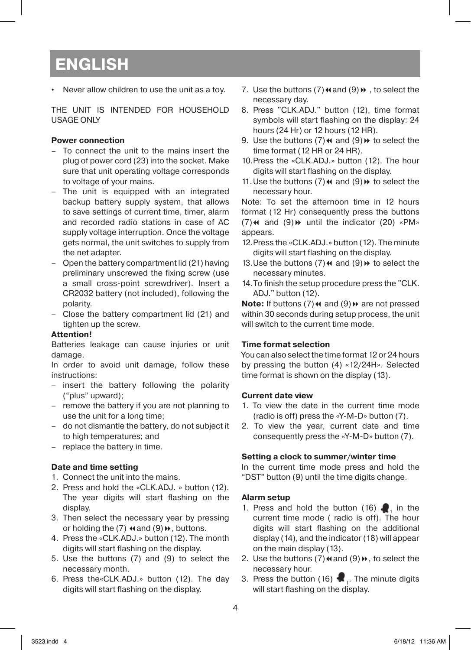• Never allow children to use the unit as a toy.

THE UNIT IS INTENDED FOR HOUSEHOLD USAGE ONLY

#### **Power connection**

- – To connect the unit to the mains insert the plug of power cord (23) into the socket. Make sure that unit operating voltage corresponds to voltage of your mains.
- – The unit is equipped with an integrated backup battery supply system, that allows to save settings of current time, timer, alarm and recorded radio stations in case of AC supply voltage interruption. Once the voltage gets normal, the unit switches to supply from the net adapter.
- – Open the battery compartment lid (21) having preliminary unscrewed the fixing screw (use a small cross-point screwdriver). Insert a CR2032 battery (not included), following the polarity.
- – Close the battery compartment lid (21) and tighten up the screw.

#### **Attention!**

Batteries leakage can cause injuries or unit damage.

In order to avoid unit damage, follow these instructions:

- – insert the battery following the polarity ("plus" upward);
- remove the battery if you are not planning to use the unit for a long time;
- – do not dismantle the battery, do not subject it to high temperatures; and
- replace the battery in time.

#### **Date and time setting**

- 1. Connect the unit into the mains.
- 2. Press and hold the «CLK.ADJ. » button (12). The year digits will start flashing on the display.
- 3. Then select the necessary year by pressing or holding the  $(7)$   $\leftrightarrow$  and  $(9) \rightarrow$ , buttons.
- 4. Press the «CLK.ADJ.» button (12). The month digits will start flashing on the display.
- 5. Use the buttons (7) and (9) to select the necessary month.
- 6. Press the«CLK.ADJ.» button (12). The day digits will start flashing on the display.
- 7. Use the buttons (7) $\leftrightarrow$  and (9) $\leftrightarrow$ , to select the necessary day.
- 8. Press "CLK.ADJ." button (12), time format symbols will start flashing on the display: 24 hours (24 Hr) or 12 hours (12 HR).
- 9. Use the buttons  $(7) \leftrightarrow \infty$  and  $(9) \leftrightarrow \infty$  select the time format (12 НR or 24 НR).
- 10. Press the «CLK.ADJ.» button (12). The hour digits will start flashing on the display.
- 11. Use the buttons  $(7) \leftrightarrow \infty$  and  $(9) \leftrightarrow \infty$  select the necessary hour.

Note: To set the afternoon time in 12 hours format (12 Hr) consequently press the buttons (7) $\leftrightarrow$  and (9) $\leftrightarrow$  until the indicator (20) «PM» appears.

- 12. Press the «CLK.ADJ.» button (12). The minute digits will start flashing on the display.
- 13. Use the buttons  $(7) \leftrightarrow \text{and } (9) \leftrightarrow \text{to select the}$ necessary minutes.
- 14. To finish the setup procedure press the "CLK. ADJ." button (12).

**Note:** If buttons (7) << and (9)  $\blacktriangleright$  are not pressed within 30 seconds during setup process, the unit will switch to the current time mode.

#### **Time format selection**

You can also select the time format 12 or 24 hours by pressing the button (4) «12/24Н». Selected time format is shown on the display (13).

#### **Current date view**

- 1. To view the date in the current time mode (radio is off) press the «Y-M-D» button (7).
- 2. To view the year, current date and time consequently press the «Y-M-D» button (7).

#### **Setting a clock to summer/winter time**

In the current time mode press and hold the "DST" button (9) until the time digits change.

#### **Alarm setup**

- 1. Press and hold the button (16)  $\Box$ , in the current time mode ( radio is off). The hour digits will start flashing on the additional display (14), and the indicator (18) will appear on the main display (13).
- 2. Use the buttons  $(7) \triangleleft$  and  $(9) \blacktriangleright$ , to select the necessary hour.
- 3. Press the button  $(16)$  . The minute digits will start flashing on the display.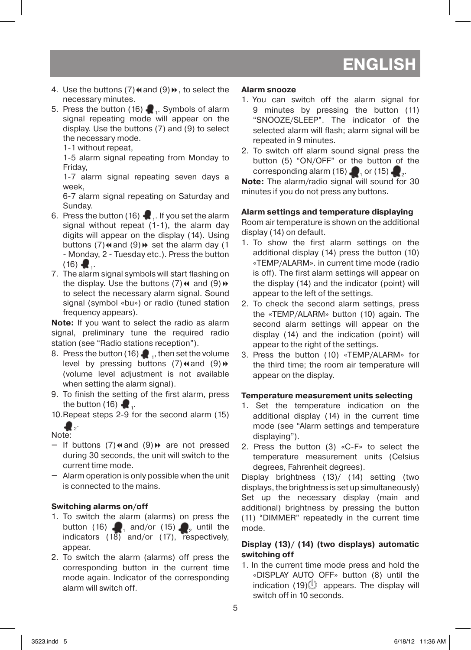- 4. Use the buttons  $(7) \triangleleft$  and  $(9) \triangleright$ , to select the necessary minutes.
- 5. Press the button (16) **2.** Symbols of alarm signal repeating mode will appear on the display. Use the buttons (7) and (9) to select the necessary mode.

1-1 without repeat,

1-5 alarm signal repeating from Monday to Friday,

1-7 alarm signal repeating seven days a week,

6-7 alarm signal repeating on Saturday and Sunday.

- 6. Press the button (16)  $\bullet$ . If you set the alarm signal without repeat (1-1), the alarm day digits will appear on the display (14). Using buttons (7) $\leftrightarrow$  and (9) $\leftrightarrow$  set the alarm day (1 - Monday, 2 - Tuesday etc.). Press the button  $(16)$  .
- 7. The alarm signal symbols will start flashing on the display. Use the buttons  $(7) \leftrightarrow$  and  $(9) \rightarrow$ to select the necessary alarm signal. Sound signal (symbol «bu») or radio (tuned station frequency appears).

**Note:** If you want to select the radio as alarm signal, preliminary tune the required radio station (see "Radio stations reception").

- 8. Press the button (16)  $\blacksquare$  , then set the volume level by pressing buttons  $(7)$  and  $(9)$  » (volume level adjustment is not available when setting the alarm signal).
- 9. To finish the setting of the first alarm, press the button  $(16)$ .

10. Repeat steps 2-9 for the second alarm (15)

 $\clubsuit$ Note:

- If buttons (7) $\triangleleft$  and (9) $\triangleleft$  are not pressed during 30 seconds, the unit will switch to the current time mode.
- $-$  Alarm operation is only possible when the unit is connected to the mains.

#### **Switching alarms on/off**

- 1. To switch the alarm (alarms) on press the button (16)  $\blacksquare$ , and/or (15)  $\blacksquare$ , until the indicators (18) and/or (17), respectively, appear.
- 2. To switch the alarm (alarms) off press the corresponding button in the current time mode again. Indicator of the corresponding alarm will switch off.

#### **Alarm snooze**

- 1. You can switch off the alarm signal for 9 minutes by pressing the button (11) "SNOOZE/SLEEP". The indicator of the selected alarm will flash; alarm signal will be repeated in 9 minutes.
- 2. To switch off alarm sound signal press the button (5) "ON/OFF" or the button of the corresponding alarm (16)  $\blacksquare$ , or (15)  $\blacksquare$ .

**Note:** The alarm/radio signal will sound for 30 minutes if you do not press any buttons.

#### **Alarm settings and temperature displaying**

Room air temperature is shown on the additional display (14) on default.

- 1. To show the first alarm settings on the additional display (14) press the button (10) «TEMP/ALARM». in current time mode (radio is off). The first alarm settings will appear on the display (14) and the indicator (point) will appear to the left of the settings.
- 2. To check the second alarm settings, press the «TEMP/ALARM» button (10) again. The second alarm settings will appear on the display (14) and the indication (point) will appear to the right of the settings.
- 3. Press the button (10) «TEMP/ALARM» for the third time; the room air temperature will appear on the display.

#### **Temperature measurement units selecting**

- 1. Set the temperature indication on the additional display (14) in the current time mode (see "Alarm settings and temperature displaying").
- 2. Press the button (3) «C-F» to select the temperature measurement units (Celsius degrees, Fahrenheit degrees).

Display brightness (13)/ (14) setting (two displays, the brightness is set up simultaneously) Set up the necessary display (main and additional) brightness by pressing the button (11) "DIMMER" repeatedly in the current time mode.

#### **Display (13)/ (14) (two displays) automatic switching off**

1. In the current time mode press and hold the «DISPLAY AUTO OFF» button (8) until the indication  $(19)$  appears. The display will switch off in 10 seconds.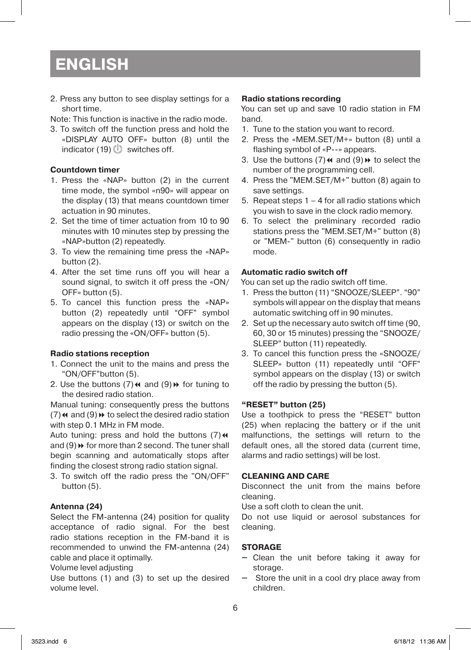2. Press any button to see display settings for a short time.

Note: This function is inactive in the radio mode.

3. To switch off the function press and hold the «DISPLAY AUTO OFF» button (8) until the indicator (19)  $\mathbb{U}$  switches off.

### **Countdown timer**

- 1. Press the «NAP» button (2) in the current time mode, the symbol «n90» will appear on the display (13) that means countdown timer actuation in 90 minutes.
- 2. Set the time of timer actuation from 10 to 90 minutes with 10 minutes step by pressing the «NAP»button (2) repeatedly.
- 3. To view the remaining time press the «NAP» button (2).
- 4. After the set time runs off you will hear a sound signal, to switch it off press the «ON/ OFF» button (5).
- 5. To cancel this function press the «NAP» button (2) repeatedly until "OFF" symbol appears on the display (13) or switch on the radio pressing the «ON/OFF» button (5).

#### **Radio stations reception**

- 1. Connect the unit to the mains and press the "ON/OFF"button (5).
- 2. Use the buttons  $(7) \leftrightarrow$  and  $(9) \leftrightarrow$  for tuning to the desired radio station.

Manual tuning: consequently press the buttons (7) $\leftrightarrow$  and (9) $\leftrightarrow$  to select the desired radio station with step 0.1 MHz in FM mode.

Auto tuning: press and hold the buttons  $(7)$ <sup>44</sup> and  $(9)$   $\blacktriangleright$  for more than 2 second. The tuner shall begin scanning and automatically stops after finding the closest strong radio station signal.

3. To switch off the radio press the "ON/OFF" button (5).

# **Antenna (24)**

Select the FM-antenna (24) position for quality acceptance of radio signal. For the best radio stations reception in the FM-band it is recommended to unwind the FM-antenna (24) cable and place it optimally.

#### Volume level adjusting

Use buttons (1) and (3) to set up the desired volume level.

#### **Radio stations recording**

You can set up and save 10 radio station in FM band.

- 1. Tune to the station you want to record.
- 2. Press the «MEM.SET/M+» button (8) until a flashing symbol of «Р--» appears.
- 3. Use the buttons  $(7) \leftrightarrow \infty$  and  $(9) \leftrightarrow \infty$  select the number of the programming cell.
- 4. Press the "MEM.SET/M+" button (8) again to save settings.
- 5. Repeat steps  $1 4$  for all radio stations which you wish to save in the clock radio memory.
- 6. To select the preliminary recorded radio stations press the "MEM.SET/M+" button (8) or "MEM-" button (6) consequently in radio mode.

# **Automatic radio switch off**

You can set up the radio switch off time.

- 1. Press the button (11) "SNOOZE/SLEEP". "90" symbols will appear on the display that means automatic switching off in 90 minutes.
- 2. Set up the necessary auto switch off time (90, 60, 30 or 15 minutes) pressing the "SNOOZE/ SLEEP" button (11) repeatedly.
- 3. To cancel this function press the «SNOOZE/ SLEEP» button (11) repeatedly until "OFF" symbol appears on the display (13) or switch off the radio by pressing the button (5).

#### **"RESET" button (25)**

Use a toothpick to press the "RESET" button (25) when replacing the battery or if the unit malfunctions, the settings will return to the default ones, all the stored data (current time, alarms and radio settings) will be lost.

#### **CLEANING AND CARE**

Disconnect the unit from the mains before cleaning.

Use a soft cloth to clean the unit.

Do not use liquid or aerosol substances for cleaning.

#### **STORAGE**

- $-$  Clean the unit before taking it away for storage.
- $-$  Store the unit in a cool dry place away from children.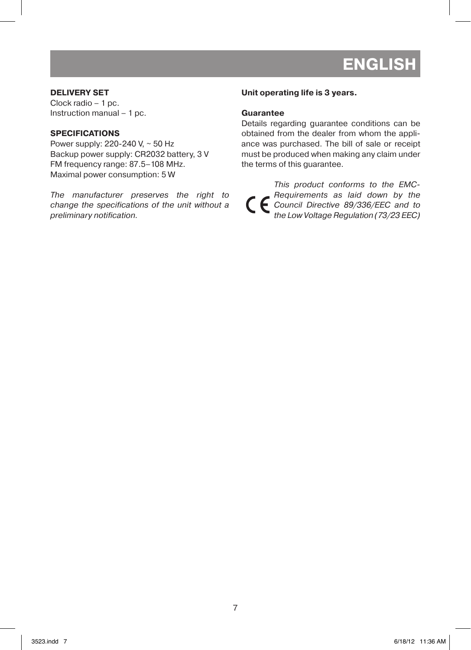#### **DELIVERY SET**

Clock radio – 1 pc. Instruction manual – 1 pc.

#### **SPECIFICATIONS**

Power supply: 220-240 V, ~ 50 Hz Backup power supply: CR2032 battery, 3 V FM frequency range: 87.5–108 MHz. Maximal power consumption: 5 W

The manufacturer preserves the right to change the specifications of the unit without a preliminary notification.

#### **Unit operating life is 3 years.**

#### **Guarantee**

Details regarding guarantee conditions can be obtained from the dealer from whom the appliance was purchased. The bill of sale or receipt must be produced when making any claim under the terms of this guarantee.

This product conforms to the EMC-Requirements as laid down by the Council Directive 89/336/EEC and to the Low Voltage Regulation (73/23 EEC)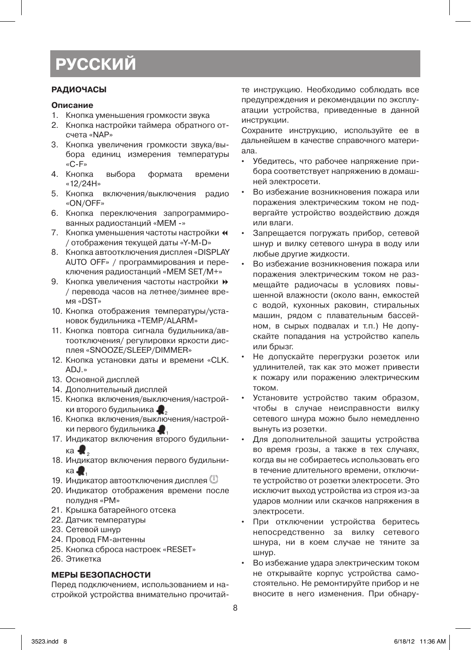# **русский**

#### **РАДИОЧАСЫ**

#### **Описание**

- 1. Кнопка уменьшения громкости звука
- 2. Кнопка настройки таймера обратного отсчета «NAP»
- 3. Кнопка увеличения громкости звука/выбора единиц измерения температуры «С-F»<br>4 Кнопка
- выбора формата времени «12/24H»
- 5. Кнопка включения/выключения радио «ON/OFF»
- 6. Кнопка переключения запрограммированных радиостанций «MEM -»
- 7. Кнопка уменьшения частоты настройки « / отображения текущей даты «Y-M-D»
- 8. Кнопка автоотключения дисплея «DISPLAY AUTO OFF» / программирования и переключения радиостанций «MEM SET/M+»
- 9. Кнопка увеличения частоты настройки  $\blacktriangleright$ / перевода часов на летнее/зимнее время «DST»
- 10. Кнопка отображения температуры/установок будильника «TEMP/ALARM»
- 11. Кнопка повтора сигнала будильника/автоотключения/ регулировки яркости дисплея «SNOOZE/SLEEP/DIMMER»
- 12. Кнопка установки даты и времени «CLK. ADJ.»
- 13. Основной дисплей
- 14. Дополнительный дисплей
- 15. Кнопка включения/выключения/настройки второго будильника <sup>2</sup>
- 16. Кнопка включения/выключения/настройки первого будильника.
- 17. Индикатор включения второго будильника  $\blacksquare$
- 18. Индикатор включения первого будильника $\blacksquare$
- 19. Индикатор автоотключения дисплея  $\mathbb{U}$
- 20. Индикатор отображения времени после полудня «РМ»
- 21. Крышка батарейного отсека
- 22. Датчик температуры
- 23. Сетевой шнур
- 24. Провод FM-антенны
- 25. Кнопка сброса настроек «RESET»
- 26. Этикетка

#### **МЕРЫ БЕЗОПАСНОСТИ**

Перед подключением, использованием и настройкой устройства внимательно прочитайте инструкцию. Необходимо соблюдать все предупреждения и рекомендации по эксплуатации устройства, приведенные в данной инструкции.

Сохраните инструкцию, используйте ее в дальнейшем в качестве справочного материала.

- • Убедитесь, что рабочее напряжение прибора соответствует напряжению в домашней электросети.
- Во избежание возникновения пожара или поражения электрическим током не подвергайте устройство воздействию дождя или влаги.
- Запрещается погружать прибор, сетевой шнур и вилку сетевого шнура в воду или любые другие жидкости.
- Во избежание возникновения пожара или поражения электрическим током не размещайте радиочасы в условиях повышенной влажности (около ванн, емкостей с водой, кухонных раковин, стиральных машин, рядом с плавательным бассейном, в сырых подвалах и т.п.) Не допускайте попадания на устройство капель или брызг.
- Не допускайте перегрузки розеток или удлинителей, так как это может привести к пожару или поражению электрическим током.
- Установите устройство таким образом, чтобы в случае неисправности вилку сетевого шнура можно было немедленно вынуть из розетки.
- Для дополнительной защиты устройства во время грозы, а также в тех случаях, когда вы не собираетесь использовать его в течение длительного времени, отключите устройство от розетки электросети. Это исключит выход устройства из строя из-за ударов молнии или скачков напряжения в электросети.
- При отключении устройства беритесь непосредственно за вилку сетевого шнура, ни в коем случае не тяните за шнур.
- Во избежание удара электрическим током не открывайте корпус устройства самостоятельно. Не ремонтируйте прибор и не вносите в него изменения. При обнару-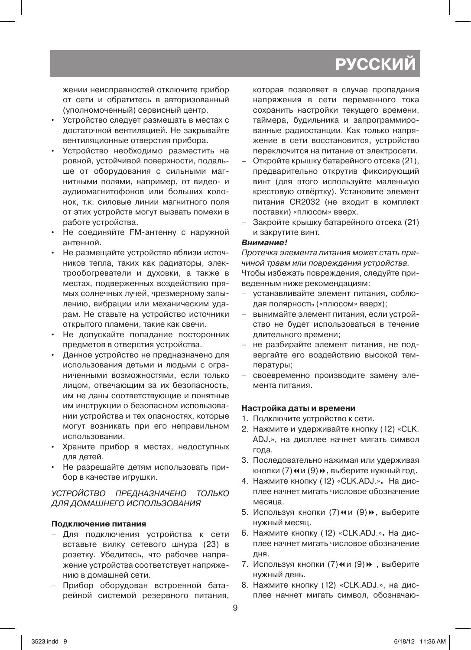# **РУССКИ**

жении неисправностей отключите прибор от сети и обратитесь в авторизованный (уполномоченный) сервисный центр.

- Устройство следует размещать в местах с достаточной вентиляцией. Не закрывайте вентиляционные отверстия прибора.
- Устройство необходимо разместить на ровной, устойчивой поверхности, подальше от оборудования с сильными магнитными полями, например, от видео- и аудиомагнитофонов или больших колонок, т.к. силовые линии магнитного поля от этих устройств могут вызвать помехи в работе устройства.
- • Не соединяйте FM-антенну с наружной антенной.
- • Не размещайте устройство вблизи источников тепла, таких как радиаторы, электрообогреватели и духовки, а также в местах, подверженных воздействию прямых солнечных лучей, чрезмерному запылению, вибрации или механическим ударам. Не ставьте на устройство источники открытого пламени, такие как свечи.
- • Не допускайте попадание посторонних предметов в отверстия устройства.
- Данное устройство не предназначено для использования детьми и людьми с ограниченными возможностями, если только лицом, отвечающим за их безопасность, им не даны соответствующие и понятные им инструкции о безопасном использовании устройства и тех опасностях, которые могут возникать при его неправильном использовании.
- • Храните прибор в местах, недоступных для детей.
- • Не разрешайте детям использовать прибор в качестве игрушки.

### УСТРОЙСТВО ПРЕДНАЗНАЧЕНО ТОЛЬКО ДЛЯ ДОМАШНЕГО ИСПОЛЬЗОВАНИЯ

# **Подключение питания**

- – Для подключения устройства к сети вставьте вилку сетевого шнура (23) в розетку. Убедитесь, что рабочее напряжение устройства соответствует напряжению в домашней сети.
- – Прибор оборудован встроенной батарейной системой резервного питания,

которая позволяет в случае пропадания напряжения в сети переменного тока сохранить настройки текущего времени, таймера, будильника и запрограммированные радиостанции. Как только напряжение в сети восстановится, устройство переключится на питание от электросети.

- Откройте крышку батарейного отсека (21), предварительно открутив фиксирующий винт (для этого используйте маленькую крестовую отвёртку). Установите элемент питания CR2032 (не входит в комплект поставки) «плюсом» вверх.
- Закройте крышку батарейного отсека (21) и закрутите винт.

#### **Внимание!**

Протечка элемента питания может стать причиной травм или повреждения устройства. Чтобы избежать повреждения, следуйте приведенным ниже рекомендациям:

- устанавливайте элемент питания, соблюдая полярность («плюсом» вверх);
- вынимайте элемент питания, если устройство не будет использоваться в течение длительного времени;
- не разбирайте элемент питания, не подвергайте его воздействию высокой температуры;
- своевременно производите замену элемента питания.

#### **Настройка даты и времени**

- 1. Подключите устройство к сети.
- 2. Нажмите и удерживайте кнопку (12) «CLK. ADJ.», на дисплее начнет мигать символ года.
- 3. Последовательно нажимая или удерживая кнопки (7) и и (9)», выберите нужный год.
- 4. Нажмите кнопку (12) «CLK.ADJ.»**.** На дисплее начнет мигать числовое обозначение месяца.
- 5. Используя кнопки (7) «и (9)», выберите нужный месяц.
- 6. Нажмите кнопку (12) «CLK.ADJ.»**.** На дисплее начнет мигать числовое обозначение дня.
- 7. Используя кнопки (7) № и (9) », выберите нужный день.
- 8. Нажмите кнопку (12) «CLK.ADJ.», на дисплее начнет мигать символ, обозначаю-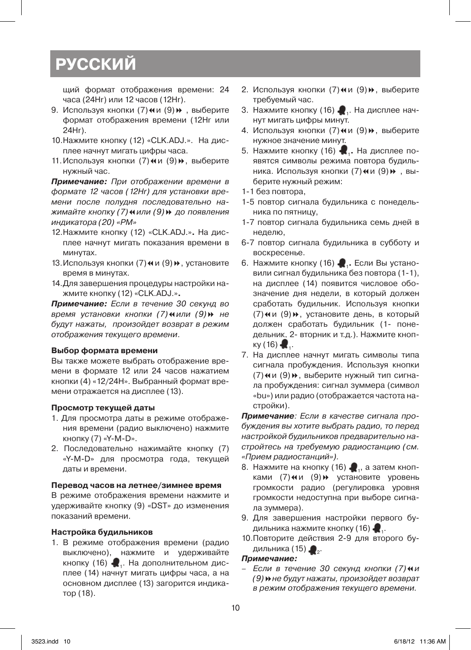# **русский**

щий формат отображения времени: 24 часа (24Hr) или 12 часов (12Hr).

- 9. Используя кнопки (7) и и (9) », выберите формат отображения времени (12Нr или 24Нr).
- 10. Нажмите кнопку (12) «CLK.ADJ.». На дисплее начнут мигать цифры часа.
- 11. Используя кнопки (7) «и (9)», выберите нужный час.

**Примечание:** При отображении времени в формате 12 часов (12Hr) для установки времени после полудня последовательно нажимайте кнопку (7) и или (9) № до появления индикатора (20) «PM»

- 12. Нажмите кнопку (12) «CLK.ADJ.»**.** На дисплее начнут мигать показания времени в минутах.
- 13. Используя кнопки (7) и и (9) », установите время в минутах.
- 14. Для завершения процедуры настройки нажмите кнопку (12) «CLK.ADJ.»**.**

**Примечание:** Если в течение 30 секунд во время установки кнопки (7) и или (9) не будут нажаты, произойдет возврат в режим отображения текущего времени.

#### **Выбор формата времени**

Вы также можете выбрать отображение времени в формате 12 или 24 часов нажатием кнопки (4) «12/24Н». Выбранный формат времени отражается на дисплее (13).

#### **Просмотр текущей даты**

- 1. Для просмотра даты в режиме отображения времени (радио выключено) нажмите кнопку (7) «Y-M-D».
- 2. Последовательно нажимайте кнопку (7) «Y-M-D» для просмотра года, текущей даты и времени.

#### **Перевод часов на летнее/зимнее время**

В режиме отображения времени нажмите и удерживайте кнопку (9) «DST» до изменения показаний времени.

#### **Настройка будильников**

1. В режиме отображения времени (радио выключено), нажмите и удерживайте кнопку (16)  $\blacksquare$ . На дополнительном дисплее (14) начнут мигать цифры часа, а на основном дисплее (13) загорится индикатор (18).

- 2. Используя кнопки (7) и и (9)», выберите требуемый час.
- 3. Нажмите кнопку (16)  $\bullet$ . На дисплее начнут мигать цифры минут.
- 4. Используя кнопки (7) и и (9)», выберите нужное значение минут.
- 5. Нажмите кнопку (16) <sup>1</sup>**.** На дисплее появятся символы режима повтора будильника. Используя кнопки (7) и и (9)», выберите нужный режим:
- 1-1 без повтора,
- 1-5 повтор сигнала будильника с понедельника по пятницу,
- 1-7 повтор сигнала будильника семь дней в неделю,
- 6-7 повтор сигнала будильника в субботу и воскресенье.
- 6. Нажмите кнопку (16) <sup>1</sup>**.** Если Вы установили сигнал будильника без повтора (1-1), на дисплее (14) появится числовое обозначение дня недели, в который должен сработать будильник. Используя кнопки (7) «и (9)», установите день, в который должен сработать будильник (1- понедельник, 2- вторник и т.д.). Нажмите кнопку (16)  $\blacksquare$ .
- 7. На дисплее начнут мигать символы типа сигнала пробуждения. Используя кнопки (7) «и (9)», выберите нужный тип сигнала пробуждения: сигнал зуммера (символ «bu») или радио (отображается частота настройки).

**Примечание**: Если в качестве сигнала пробуждения вы хотите выбрать радио, то перед настройкой будильников предварительно настройтесь на требуемую радиостанцию (см. «Прием радиостанций»).

- 8. Нажмите на кнопку (16)  $\blacksquare$ , а затем кнопками (7) и и (9) » установите уровень громкости радио (регулировка уровня громкости недоступна при выборе сигнала зуммера).
- 9. Для завершения настройки первого будильника нажмите кнопку (16)  $\blacksquare$ .
- 10. Повторите действия 2-9 для второго будильника  $(15)$   $\clubsuit$ .

#### **Примечание:**

Если в течение 30 секунд кнопки (7) и и (9) • не будут нажаты, произойдет возврат в режим отображения текущего времени.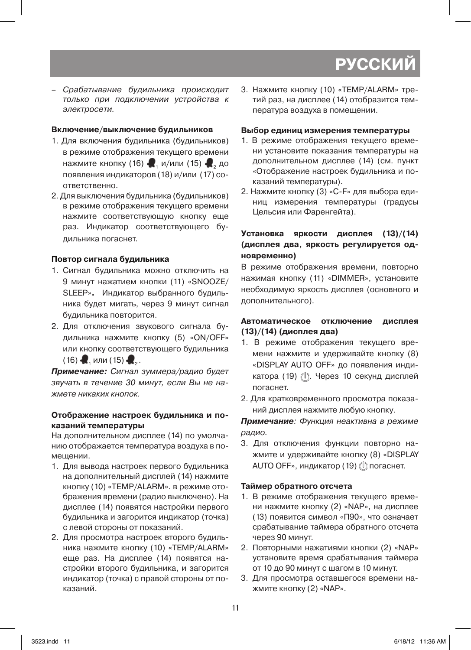# **РУССКИ**

– Срабатывание будильника происходит только при подключении устройства к электросети.

## **Включение/выключение будильников**

- 1. Для включения будильника (будильников) в режиме отображения текущего времени нажмите кнопку (16)  $\blacksquare$ , и/или (15)  $\blacksquare$ , до появления индикаторов (18) и/или (17) соответственно.
- 2. Для выключения будильника (будильников) в режиме отображения текущего времени нажмите соответствующую кнопку еще раз. Индикатор соответствующего будильника погаснет.

# **Повтор сигнала будильника**

- 1. Сигнал будильника можно отключить на 9 минут нажатием кнопки (11) «SNOOZE/ SLEEP»**.** Индикатор выбранного будильника будет мигать, через 9 минут сигнал будильника повторится.
- 2. Для отключения звукового сигнала будильника нажмите кнопку (5) «ON/OFF» или кнопку соответствующего будильника (16)  $\bullet$ , или (15)  $\bullet$ .

**Примечание:** Сигнал зуммера/радио будет звучать в течение 30 минут, если Вы не нажмете никаких кнопок.

### **Отображение настроек будильника и показаний температуры**

На дополнительном дисплее (14) по умолчанию отображается температура воздуха в помещении.

- 1. Для вывода настроек первого будильника на дополнительный дисплей (14) нажмите кнопку (10) «TEMP/ALARM». в режиме отображения времени (радио выключено). На дисплее (14) появятся настройки первого будильника и загорится индикатор (точка) с левой стороны от показаний.
- 2. Для просмотра настроек второго будильника нажмите кнопку (10) «TEMP/ALARM» еще раз. На дисплее (14) появятся настройки второго будильника, и загорится индикатор (точка) с правой стороны от показаний.

3. Нажмите кнопку (10) «ТЕМР/ALARM» третий раз, на дисплее (14) отобразится температура воздуха в помещении.

# **Выбор единиц измерения температуры**

- 1. В режиме отображения текущего времени установите показания температуры на дополнительном дисплее (14) (см. пункт «Отображение настроек будильника и показаний температуры).
- 2. Нажмите кнопку (3) «C-F» для выбора единиц измерения температуры (градусы Цельсия или Фаренгейта).

# **Установка яркости дисплея (13)/(14) (дисплея два, яркость регулируется одновременно)**

В режиме отображения времени, повторно нажимая кнопку (11) «DIMMER», установите необходимую яркость дисплея (основного и дополнительного).

# **Автоматическое отключение дисплея (13)/(14) (дисплея два)**

- 1. В режиме отображения текущего времени нажмите и удерживайте кнопку (8) «DISPLAY AUTO OFF» до появления индикатора (19) ( !). Через 10 секунд дисплей погаснет.
- 2. Для кратковременного просмотра показаний дисплея нажмите любую кнопку.

# **Примечание**: Функция неактивна в режиме радио.

3. Для отключения функции повторно нажмите и удерживайте кнопку (8) «DISPLAY AUTO OFF», индикатор (19) (1) погаснет.

# **Таймер обратного отсчета**

- 1. В режиме отображения текущего времени нажмите кнопку (2) «NAP», на дисплее (13) появится символ «П90», что означает срабатывание таймера обратного отсчета через 90 минут.
- 2. Повторными нажатиями кнопки (2) «NAP» установите время срабатывания таймера от 10 до 90 минут с шагом в 10 минут.
- 3. Для просмотра оставшегося времени нажмите кнопку (2) «NAP».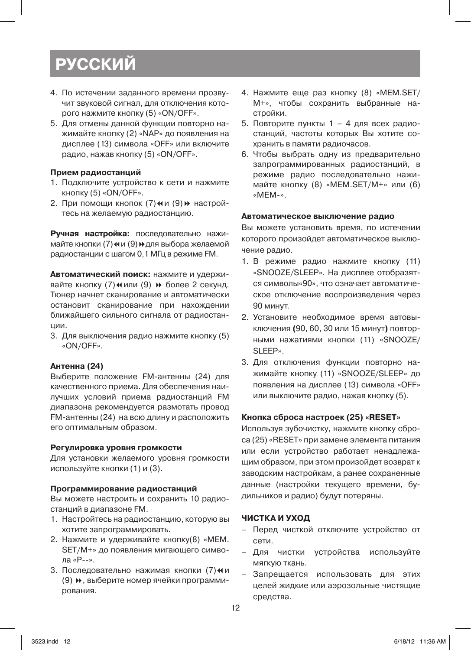# **русский**

- 4. По истечении заданного времени прозвучит звуковой сигнал, для отключения которого нажмите кнопку (5) «ON/OFF».
- 5. Для отмены данной функции повторно нажимайте кнопку (2) «NAP» до появления на дисплее (13) символа «OFF» или включите радио, нажав кнопку (5) «ON/OFF».

#### **Прием радиостанций**

- 1. Подключите устройство к сети и нажмите кнопку (5) «ON/OFF».
- 2. При помощи кнопок (7) «и (9) » настройтесь на желаемую радиостанцию.

**Ручная настройка:** последовательно нажимайте кнопки (7) **«** и (9) **»** для выбора желаемой радиостанции с шагом 0,1 МГц в режиме FM.

**Автоматический поиск:** нажмите и удерживайте кнопку (7) и или (9) № более 2 секунд. Тюнер начнет сканирование и автоматически остановит сканирование при нахождении ближайшего сильного сигнала от радиостанции.

3. Для выключения радио нажмите кнопку (5) «ON/OFF».

#### **Антенна (24)**

Выберите положение FM-антенны (24) для качественного приема. Для обеспечения наилучших условий приема радиостанций FM диапазона рекомендуется размотать провод FM-антенны (24) на всю длину и расположить его оптимальным образом.

#### **Регулировка уровня громкости**

Для установки желаемого уровня громкости используйте кнопки (1) и (3).

#### **Программирование радиостанций**

Вы можете настроить и сохранить 10 радиостанций в диапазоне FM.

- 1. Настройтесь на радиостанцию, которую вы хотите запрограммировать.
- 2. Нажмите и удерживайте кнопку(8) «MEM. SET/М+» до появления мигающего символа «Р--».
- 3. Последовательно нажимая кнопки (7) и и (9) 8, выберите номер ячейки программирования.
- 4. Нажмите еще раз кнопку (8) «MEM.SET/ М+», чтобы сохранить выбранные настройки.
- 5. Повторите пункты 1 4 для всех радиостанций, частоты которых Вы хотите сохранить в памяти радиочасов.
- 6. Чтобы выбрать одну из предварительно запрограммированных радиостанций, в режиме радио последовательно нажимайте кнопку (8) «MEM.SET/М+» или (6) «МЕМ-».

#### **Автоматическое выключение радио**

Вы можете установить время, по истечении которого произойдет автоматическое выключение радио.

- 1. В режиме радио нажмите кнопку (11) «SNOOZE/SLEEP». На дисплее отобразятся символы«90», что означает автоматическое отключение воспроизведения через 90 минут.
- 2. Установите необходимое время автовыключения **(**90, 60, 30 или 15 минут**)** повторными нажатиями кнопки (11) «SNOOZE/ SLEEP».
- 3. Для отключения функции повторно нажимайте кнопку (11) «SNOOZE/SLEEP» до появления на дисплее (13) символа «OFF» или выключите радио, нажав кнопку (5).

#### **Кнопка сброса настроек (25) «RESET»**

Используя зубочистку, нажмите кнопку сброса (25) «RESET» при замене элемента питания или если устройство работает ненадлежащим образом, при этом произойдет возврат к заводским настройкам, а ранее сохраненные данные (настройки текущего времени, будильников и радио) будут потеряны.

#### **ЧИСТКА И УХОД**

- – Перед чисткой отключите устройство от сети.
- – Для чистки устройства используйте мягкую ткань.
- Запрещается использовать для этих целей жидкие или аэрозольные чистящие средства.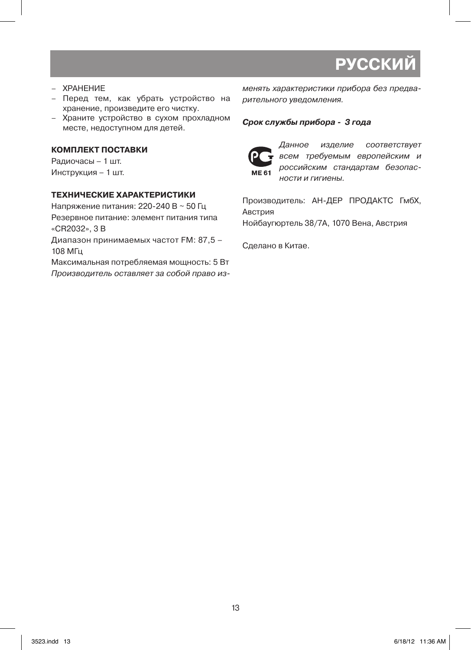# **РУССКИ**

- – ХРАНЕНИЕ
- – Перед тем, как убрать устройство на хранение, произведите его чистку.
- – Храните устройство в сухом прохладном месте, недоступном для детей.

#### **КОМПЛЕКТ ПОСТАВКИ**

Радиочасы – 1 шт. Инструкция – 1 шт.

#### **ТЕХНИЧЕСКИЕ ХАРАКТЕРИСТИКИ**

Напряжение питания: 220-240 В ~ 50 Гц Резервное питание: элемент питания типа «CR2032», 3 В

Диапазон принимаемых частот FM: 87,5 – 108 МГц

Максимальная потребляемая мощность: 5 Вт Производитель оставляет за собой право изменять характеристики прибора без предварительного уведомления.

#### **Срок службы прибора - 3 года**



Данное изделие соответствует всем требуемым европейским и российским стандартам безопасности и гигиены.

Производитель: АН-ДЕР ПРОДАКТС ГмбХ, Австрия

Нойбаугюртель 38/7А, 1070 Вена, Австрия

Сделано в Китае.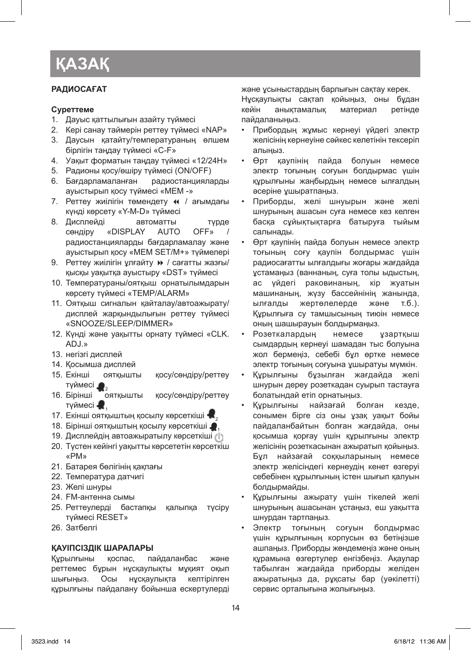### **РАДИОСАҒАТ**

#### **Суреттеме**

- 1. Дауыс қаттылығын азайту түймесі
- 2. Кері санау таймерін реттеу түймесі «NAP»
- 3. Даусын қатайту/температураның өлшем бірлігін таңдау түймесі «C-F»
- 4. Уақыт форматын таңдау түймесі «12/24H»
- 5. Радионы қосу/өшіру түймесі (ON/OFF)
- 6. Бағдарламаланған радиостанцияларды ауыстырып қосу түймесі «MEM -»
- 7. Реттеу жиілігін төмендету « / ағымдағы күнді көрсету «Y-M-D» түймесі
- 8. Дисплейді автоматты түрде сөндіру «DISPLAY AUTO OFF» / радиостанцияларды бағдарламалау және ауыстырып қосу «MEM SET/M+» түймелері
- 9. Реттеу жиілігін ұлғайту » / сағатты жазғы/ қысқы уақытқа ауыстыру «DST» түймесі
- 10. Температураны/оятқыш орнатылымдарын көрсету түймесі «TEMP/ALARM»
- 11. Оятқыш сигналын қайталау/автоажырату/ дисплей жарқындылығын реттеу түймесі «SNOOZE/SLEEP/DIMMER»
- 12. Күнді және уақытты орнату түймесі «CLK. ADJ.»
- 13. негізгі дисплей
- 14. Қосымша дисплей
- 15. Екінші оятқышты қосу/сөндіру/реттеу түймесі $\bigcirc$  2<br>16. Бірінші оятқышты
- қосу/сөндіру/реттеу түймесі  $\blacksquare$ .
- 17. Екінші оятқыштың қосылу көрсеткіші  $\blacksquare$
- 18. Бірінші оятқыштың қосылу көрсеткіші  $\bullet$ .
- 19. Дисплейдің автоажыратылу көрсеткіші  $\ell$
- 20. Түстен кейінгі уақытты көрсететін көрсеткіш «РМ»
- 21. Батарея бөлігінің қақпағы
- 22. Температура датчигі
- 23. Желі шнуры
- 24. FM-антенна сымы
- 25. Реттеулерді бастапқы қалыпқа түсіру түймесі RESET»
- 26. Затбелгі

#### **ҚАУІПСІЗДІК ШАРАЛАРЫ**

Құрылғыны қоспас, пайдаланбас және реттемес бұрын нұсқаулықты мұқият оқып шығыңыз. Осы нұсқаулықта келтірілген құрылғыны пайдалану бойынша ескертулерді және ұсыныстардың барлығын сақтау керек.

Нұсқаулықты сақтап қойыңыз, оны бұдан кейін анықтамалық материал ретінде пайдаланыңыз.

- Прибордың жұмыс кернеуі үйдегі электр желісінің кернеуіне сәйкес келетінін тексеріп алыңыз.
- • Өрт қаупінің пайда болуын немесе электр тоғының соғуын болдырмас үшін құрылғыны жаңбырдың немесе ылғалдың әсеріне ұшыратпаңыз.
- Приборды, желі шнуырын және желі шнурының ашасын суға немесе кез келген басқа сұйықтықтарға батыруға тыйым салынады.
- • Өрт қаупінің пайда болуын немесе электр тоғының соғу қаупін болдырмас үшін радиосағатты ылғалдығы жоғары жағдайда ұстамаңыз (ваннаның, суға толы ыдыстың, ас үйдегі раковинаның, кір жуатын машинаның, жүзу бассейнінің жанында, ылғалды жертөлелерде және т.б.). Құрылғыға су тамшысының тиюін немесе оның шашырауын болдырмаңыз.
- Розеткалардың немесе ұзартқыш сымдардың кернеуі шамадан тыс болуына жол бермеңіз, себебі бұл өртке немесе электр тоғының соғуына ұшыратуы мүмкін.
- Құрылғыны бұзылған жағдайда желі шнурын дереу розеткадан суырып тастауға болатындай етіп орнатыңыз.
- Курылғыны найзағай болған кезде, сонымен бірге сіз оны ұзақ уақыт бойы пайдаланбайтын болған жағдайда, оны қосымша қорғау үшін құрылғыны электр желісінің розеткасынан ажыратып қойыңыз. Бұл найзағай соққыларының немесе электр желісіндегі кернеудің кенет өзгеруі себебінен құрылғының істен шығып қалуын болдырмайды.
- Құрылғыны ажырату үшін тікелей желі шнурының ашасынан ұстаңыз, еш уақытта шнурдан тартпаңыз.
- Электр тоғының соғуын болдырмас үшін құрылғының корпусын өз бетіңізше ашпаңыз. Приборды жөндемеңіз және оның құрамына өзгертулер енгізбеңіз. Ақаулар табылған жағдайда приборды желіден ажыратыңыз да, рұқсаты бар (уәкілетті) сервис орталығына жолығыңыз.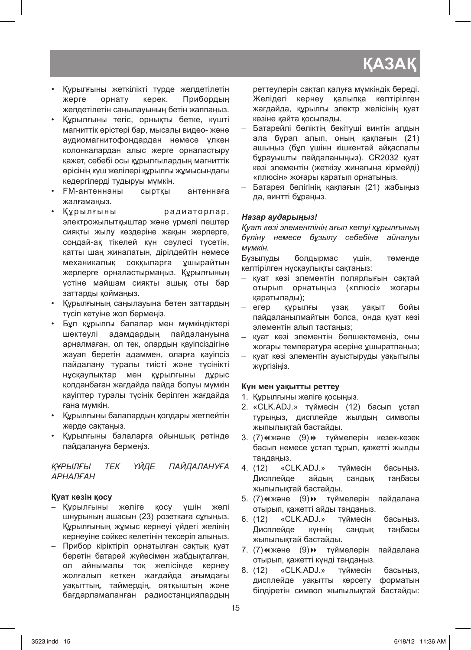- • Құрылғыны жеткілікті түрде желдетілетін жерге орнату керек. Прибордың желдетілетін саңылауының бетін жаппаңыз.
- • Құрылғыны тегіс, орнықты бетке, күшті магниттік өрістері бар, мысалы видео- және аудиомагнитофондардан немесе үлкен колонкалардан алыс жерге орналастыру қажет, себебі осы құрылғылардың магниттік өрісінің күш желілері құрылғы жұмысындағы кедергілерді тудыруы мүмкін.
- • FM-антеннаны сыртқы антеннаға жалғамаңыз.
- • Құрылғыны радиаторлар, электрожылытқыштар және үрмелі пештер сияқты жылу көздеріне жақын жерлерге, сондай-ақ тікелей күн сәулесі түсетін, қатты шаң жиналатын, дірілдейтін немесе механикалық соққыларға ұшырайтын жерлерге орналастырмаңыз. Құрылғының үстіне майшам сияқты ашық оты бар заттарды қоймаңыз.
- • Құрылғының саңылауына бөтен заттардың түсіп кетуіне жол бермеңіз.
- • Бұл құрылғы балалар мен мүмкіндіктері шектеулі адамдардың пайдалануына арналмаған, ол тек, олардың қауіпсіздігіне жауап беретін адаммен, оларға қауіпсіз пайдалану туралы тиісті және түсінікті нұсқаулықтар мен құрылғыны дұрыс қолданбаған жағдайда пайда болуы мүмкін қауіптер туралы түсінік берілген жағдайда ғана мүмкін.
- • Құрылғыны балалардың қолдары жетпейтін жерде сақтаңыз.
- • Құрылғыны балаларға ойыншық ретінде пайдалануға бермеңіз.

# *ҚҰРЫЛҒЫ ТЕК ҮЙДЕ ПАЙДАЛАНУҒА АРНАЛҒАН*

# **Қуат көзін қосу**

- – Құрылғыны желіге қосу үшін желі шнурының ашасын (23) розеткаға сұғыңыз. Құрылғының жұмыс кернеуі үйдегі желінің кернеуіне сәйкес келетінін тексеріп алыңыз.
- – Прибор кіріктіріп орнатылған сақтық қуат беретін батарей жүйесімен жабдықталған, ол айнымалы тоқ желісінде кернеу жолғалып кеткен жағдайда ағымдағы уақыттың, таймердің, оятқыштың және бағдарламаланған радиостанциялардың

реттеулерін сақтап қалуға мүмкіндік береді. Желідегі кернеу қалыпқа келтірілген жағдайда, құрылғы электр желісінің қуат көзіне қайта қосылады.

- Батарейлі бөліктін бекітуші винтін алдын ала бұрап алып, оның қақпағын (21) ашыңыз (бұл үшінн кішкентай айқаспалы бұрауышты пайдаланыңыз). CR2032 қуат көзі элементін (жеткізу жинағына кірмейді) «плюсін» жоғары қаратып орнатыңыз.
- Батарея бөлігінің қақпағын (21) жабыңыз да, винтті бұраңыз.

# *Назар аударыңыз!*

*Қуат көзі элементінің ағып кетуі құрылғының бүліну немесе бұзылу себебіне айналуы мүмкін.*

Бұзылуды болдырмас үшін, төменде келтірілген нұсқаулықты сақтаңыз:

- – қуат көзі элементін полярлығын сақтай отырып орнатыңыз («плюсі» жоғары қаратылады);
- – егер құрылғы ұзақ уақыт бойы пайдаланылмайтын болса, онда қуат көзі элементін алып тастаңыз;
- – қуат көзі элементін бөлшектемеңіз, оны жоғары температура әсеріне ұшыратпаңыз;
- – қуат көзі элементін ауыстыруды уақытылы жүргізіңіз.

# **Күн мен уақытты реттеу**

- 1. Құрылғыны желіге қосыңыз.
- 2. «CLK.ADJ.» түймесін (12) басып ұстап тұрыңыз, дисплейде жылдың символы жыпылықтай бастайды.
- 3. (7) « және (9) » түймелерін кезек-кезек басып немесе ұстап тұрып, қажетті жылды таңдаңыз.
- 4. (12) «CLK.ADJ.» түймесін басыңыз**.**  Дисплейде айдың сандық таңбасы жыпылықтай бастайды.
- 5. (7) «және (9) » түймелерін пайдалана отырып, қажетті айды таңдаңыз.
- 6. (12) «CLK.ADJ.» түймесін басыңыз**.**  Дисплейде күннің сандық таңбасы жыпылықтай бастайды.
- 7. (7) « және (9) » түймелерін пайдалана отырып, қажетті күнді таңдаңыз.
- 8. (12) «CLK.ADJ.» түймесін басыңыз, дисплейде уақытты көрсету форматын білдіретін символ жыпылықтай бастайды: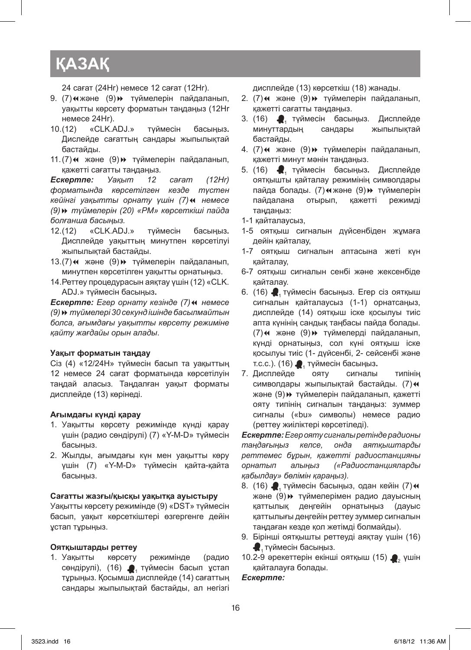24 сағат (24Hr) немесе 12 сағат (12Hr).

- 9. (7) «және (9) » түймелерін пайдаланып, уақытты көрсету форматын таңдаңыз (12Нr немесе 24Нr).
- 10. (12) «CLK.ADJ.» түймесін басыңыз**.** Дислейде сағаттың сандары жыпылықтай бастайды.
- 11. (7) « және (9) » түймелерін пайдаланып, қажетті сағатты таңдаңыз.

*Ескертпе: Уақыт 12 сағат (12Hr) форматында көрсетілген кезде түстен кейінгі уақытты орнату үшін (7)*7 *немесе (9)*8 *түймелерін (20) «PM» көрсеткіші пайда болғанша басыңыз.*

- 12. (12) «CLK.ADJ.» түймесін басыңыз**.**  Дисплейде уақыттың минутпен көрсетілуі жыпылықтай бастайды.
- 13. (7) « және (9) » түймелерін пайдаланып, минутпен көрсетілген уақытты орнатыңыз.
- 14. Реттеу процедурасын аяқтау үшін (12) «CLK. ADJ.» түймесін басыңыз**.**

**Ескертпе:** Егер орнату кезінде (7) н немесе *(9)*8 *түймелері 30 секунд ішінде басылмайтын болса, ағымдағы уақытты көрсету режиміне қайту жағдайы орын алады*.

#### **Уақыт форматын таңдау**

Сіз (4) «12/24Н» түймесін басып та уақыттың 12 немесе 24 сағат форматында көрсетілуін таңдай аласыз. Таңдалған уақыт форматы дисплейде (13) көрінеді.

#### **Ағымдағы күнді қарау**

- 1. Уақытты көрсету режимінде күнді қарау үшін (радио сөндірулі) (7) «Y-M-D» түймесін басыңыз.
- 2. Жылды, ағымдағы күн мен уақытты көру үшін (7) «Y-M-D» түймесін қайта-қайта басыңыз.

#### **Сағатты жазғы/қысқы уақытқа ауыстыру**

Уақытты көрсету режимінде (9) «DST» түймесін басып, уақыт көрсеткіштері өзгергенге дейін ұстап тұрыңыз.

#### **Оятқыштарды реттеу**

1. Уақытты көрсету режимінде (радио сөндірулі), (16) - түймесін басып ұстап тұрыңыз. Қосымша дисплейде (14) сағаттың сандары жыпылықтай бастайды, ал негізгі

дисплейде (13) көрсеткіш (18) жанады.

- 2. (7)4 және (9)» түймелерін пайдаланып, қажетті сағатты таңдаңыз.
- 3. (16)  $\bigcirc$ <sub>1</sub> түймесін басыңыз. Дисплейде<br>минуттардын сандары жыпылыктай минуттардың бастайды.
- 4. (7) $\leftrightarrow$  және (9) $\leftrightarrow$  түймелерін пайдаланып, қажетті минут мәнін таңдаңыз.
- 5. (16) <sup>1</sup> түймесін басыңыз**.** Дисплейде оятқышты қайталау режимінің символдары пайда болады. (7) «және (9) » түймелерін пайдалана отырып, қажетті режимді таңдаңыз:
- 1-1 қайталаусыз,
- 1-5 оятқыш сигналын дүйсенбіден жұмаға дейін қайталау,
- 1-7 оятқыш сигналын аптасына жеті күн қайталау,
- 6-7 оятқыш сигналын сенбі және жексенбіде қайталау.
- 6. (16)  $\blacksquare$ , түймесін басыңыз. Егер сіз оятқыш сигналын қайталаусыз (1-1) орнатсаңыз, дисплейде (14) оятқыш іске қосылуы тиіс апта күнінің сандық таңбасы пайда болады. (7) « және (9) » түймелерді пайдаланып, күнді орнатыңыз, сол күні оятқыш іске қосылуы тиіс (1- дүйсенбі, 2- сейсенбі және т.с.с.). (16)  $\bullet$ <sub>1</sub> түймесін басыңыз.<br>Дисплейде ояту сигналы
- 7. Дисплейде ояту сигналы типінің символдары жыпылықтай бастайды. (7) $\leftrightarrow$ және (9)8 түймелерін пайдаланып, қажетті ояту типінің сигналын таңдаңыз: зуммер сигналы («bu» символы) немесе радио (реттеу жиіліктері көрсетіледі).

*Ескертпе: Егер ояту сигналы ретінде радионы таңдағыңыз келсе, онда аятқыштарды реттемес бұрын, қажетті радиостанцияны орнатып алыңыз («Радиостанцияларды қабылдау» бөлімін қараңыз).*

- 8. (16)  $\blacksquare$ , түймесін басыңыз, одан кейін (7) $\spadesuit$ және (9)» түймелерімен радио дауысның қаттылық деңгейін орнатыңыз (дауыс қаттылығы деңгейін реттеу зуммер сигналын таңдаған кезде қол жетімді болмайды).
- 9. Бірінші оятқышты реттеуді аяқтау үшін (16) • түймесін басыңыз.
- 10.2-9 әрекеттерін екінші оятқыш (15)  $\bullet$ , үшін қайталауға болады.

#### *Ескертпе:*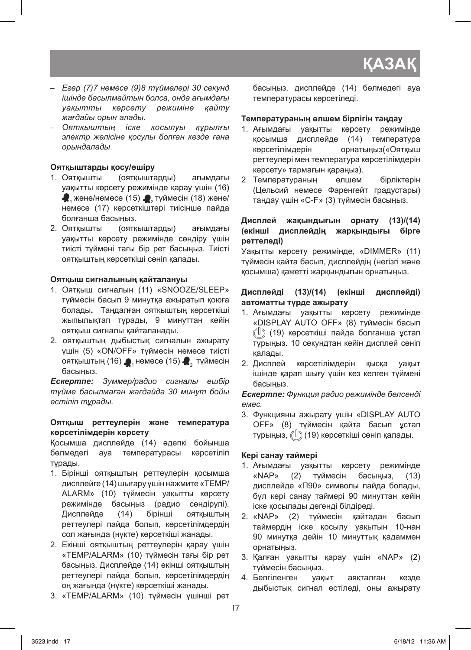- *– Егер (7)7 немесе (9)8 түймелері 30 секунд ішінде басылмайтын болса, онда ағымдағы уақытты көрсету режиміне қайту жағдайы орын алады.*
- *– Оятқыштың іске қосылуы құрылғы электр желісіне қосулы болған кезде ғана орындалады.*

# **Оятқыштарды қосу/өшіру**

- 1. Оятқышты (оятқыштарды) ағымдағы уақытты көрсету режимінде қарау үшін (16)  $\bullet$ , және/немесе (15)  $\bullet$ , түймесін (18) және/ немесе (17) көрсеткіштері тиісінше пайда болғанша басыңыз.<br>2. Ояткышты и (оятка)
- (оятқыштарды) ағымдағы уақытты көрсету режимінде сөндіру үшін тиісті түймені тағы бір рет басыңыз. Тиісті оятқыштың көрсеткіші сөніп қалады.

# **Оятқыш сигналының қайталануы**

- 1. Оятқыш сигналын (11) «SNOOZE/SLEEP» түймесін басып 9 минутқа ажыратып қоюға болады**.** Таңдалған оятқыштың көрсеткіші жыпылықтап тұрады, 9 минуттан кейін оятқыш сигналы қайталанады.
- 2. оятқыштың дыбыстық сигналын ажырату үшін (5) «ON/OFF» түймесін немесе тиісті оятқыштың (16)  $\blacksquare$ , немесе (15)  $\blacksquare$ , түймесін басыңыз.

*Ескертпе: Зуммер/радио сигналы ешбір түйме басылмаған жағдайда 30 минут бойы естіліп тұрады.*

### **Оятқыш реттеулерін және температура көрсетілімдерін көрсету**

Қосымша дисплейде (14) әдепкі бойынша бөлмедегі ауа температурасы көрсетіліп тұрады.

- 1. Бірінші оятқыштың реттеулерін қосымша дисплейге (14) шығару үшін нажмите «TEMP/ ALARM» (10) түймесін уақытты көрсету режимінде басыңыз (радио сөндірулі). Дисплейде (14) бірінші оятқыштың реттеулері пайда болып, көрсетілімдердің сол жағында (нүкте) көрсеткіші жанады.
- 2. Екінші оятқыштың реттеулерін қарау үшін «TEMP/ALARM» (10) түймесін тағы бір рет басыңыз. Дисплейде (14) екінші оятқыштың реттеулері пайда болып, көрсетілімдердің оң жағында (нүкте) көрсеткіші жанады.
- 3. «TEMP/ALARM» (10) түймесін үшінші рет

басыңыз, дисплейде (14) бөлмедегі ауа температурасы көрсетіледі.

# **Температураның өлшем бірлігін таңдау**

- 1. Ағымдағы уақытты көрсету режимінде қосымша дисплейде (14) температура көрсетілімдерін орнатыңыз(«Оятқыш реттеулері мен температура көрсетілімдерін көрсету» тармағын қараңыз).
- 2 Температураның өлшем бірліктерін (Цельсий немесе Фаренгейт градустары) таңдау үшін «C-F» (3) түймесін басыңыз.

### **Дисплей жақындығын орнату (13)/(14) (екінші дисплейдің жарқындығы бірге реттеледі)**

Уақытты көрсету режимінде, «DIMMER» (11) түймесін қайта басып, дисплейдің (негізгі және қосымша) қажетті жарқындығын орнатыңыз.

## **Дисплейді (13)/(14) (екінші дисплейді) автоматты түрде ажырату**

- 1. Ағымдағы уақытты көрсету режимінде «DISPLAY AUTO OFF» (8) түймесін басып (19) көрсеткіші пайда болғанша ұстап тұрыңыз. 10 секундтан кейін дисплей сөніп қалады.
- 2. Дисплей көрсетілімдерін қысқа уақыт ішінде қарап шығу үшін кез келген түймені басыңыз.

*Ескертпе: Функция радио режимінде белсенді емес.*

3. Функцияны ажырату үшін «DISPLAY AUTO OFF» (8) түймесін қайта басып ұстап тұрыңыз,  $\langle 19 \rangle$  (19) көрсеткіші сөніп қалады.

# **Кері санау таймері**

- 1. Ағымдағы уақытты көрсету режимінде «NAP» (2) түймесін басыңыз, (13) дисплейде «П90» символы пайда болады, бұл кері санау таймері 90 минуттан кейін іске қосылады дегенді білдіреді.
- 2. «NAP» (2) түймесін қайтадан басып таймердің іске қосылу уақытын 10-нан 90 минутқа дейін 10 минуттық қадаммен орнатыңыз.
- 3. Қалған уақытты қарау үшін «NAP» (2) түймесін басыңыз.
- 4. Белгіленген уақыт аяқталған кезде дыбыстық сигнал естіледі, оны ажырату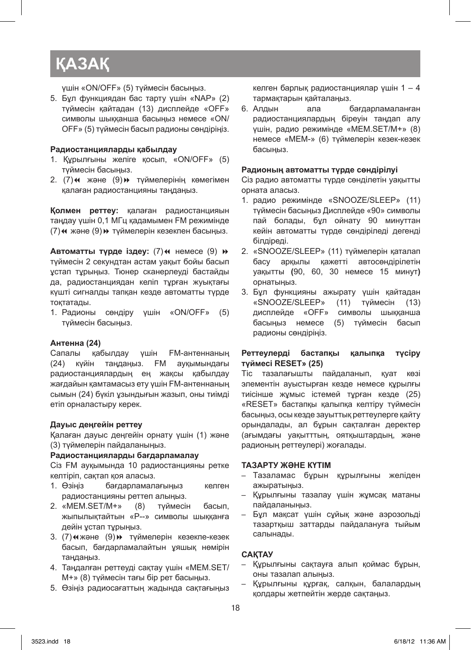үшін «ON/OFF» (5) түймесін басыңыз.

5. Бұл функциядан бас тарту үшін «NAP» (2) түймесін қайтадан (13) дисплейде «OFF» символы шыққанша басыңыз немесе «ON/ OFF» (5) түймесін басып радионы сөндіріңіз.

#### **Радиостанцияларды қабылдау**

- 1. Құрылғыны желіге қосып, «ON/OFF» (5) түймесін басыңыз.
- 2. (7)4 және (9)» түймелерінің көмегімен қалаған радиостанцияны таңдаңыз.

**Қолмен реттеу:** қалаған радиостанцияын таңдау үшін 0,1 МГц қадамымен FM режимінде (7) « және (9) » түймелерін кезекпен басыңыз.

**Автоматты түрде іздеу:** (7) немесе (9)  $\rightarrow$ түймесін 2 секундтан астам уақыт бойы басып ұстап тұрыңыз. Тюнер сканерлеуді бастайды да, радиостанциядан келіп тұрған жуықтағы күшті сигналды тапқан кезде автоматты түрде тоқтатады.

1. Радионы сөндіру үшін «ON/OFF» (5) түймесін басыңыз.

#### **Антенна (24)**

Сапалы қабылдау үшін FM-антеннаның (24) күйін таңдаңыз. FM ауқымындағы радиостанциялардың ең жақсы қабылдау жағдайын қамтамасыз ету үшін FM-антеннаның сымын (24) бүкіл ұзындығын жазып, оны тиімді етіп орналастыру керек.

#### **Дауыс деңгейін реттеу**

Қалаған дауыс деңгейін орнату үшін (1) және (3) түймелерін пайдаланыңыз.

#### **Радиостанцияларды бағдарламалау**

Сіз FM ауқымында 10 радиостанцияны ретке келтіріп, сақтап қоя аласыз.

- 1. Өзіңіз бағдарламалағыңыз келген радиостанцияны реттеп алыңыз.
- 2. «MEM.SET/М+» (8) түймесін басып, жыпылықтайтын «Р--» символы шыққанға дейін устап турыңыз.
- 3. (7)«және (9)» түймелерін кезекпе-кезек басып, бағдарламалайтын ұяшық нөмірін таңдаңыз.
- 4. Таңдалған реттеуді сақтау үшін «MEM.SET/ М+» (8) түймесін тағы бір рет басыңыз.
- 5. Өзіңіз радиосағаттың жадында сақтағыңыз

келген барлық радиостанциялар үшін 1 – 4 тармақтарын қайталаңыз.

6. Алдын ала бағдарламаланған радиостанциялардың біреуін таңдап алу үшін, радио режимінде «MEM.SET/М+» (8) немесе «МЕМ-» (6) түймелерін кезек-кезек басыңыз.

#### **Радионың автоматты түрде сөндірілуі**

Сіз радио автоматты түрде сөнділетін уақытты орната аласыз.

- 1. радио режимінде «SNOOZE/SLEEP» (11) түймесін басыңыз Дисплейде «90» символы пай болады, бұл ойнату 90 минуттан кейін автоматты түрде сөндіріледі дегенді білдіреді.
- 2. «SNOOZE/SLEEP» (11) түймелерін қаталап басу арқылы қажетті автосөндірілетін уақытты **(**90, 60, 30 немесе 15 минут**)**  орнатыңыз.
- 3. Бұл функцияны ажырату үшін қайтадан «SNOOZE/SLEEP» (11) түймесін (13)<br>дисплейде «ОFF» символы шыкканша символы шыққанша басыңыз немесе (5) түймесін басып радионы сөндіріңіз.

#### **Реттеулерді бастапқы қалыпқа түсіру түймесі RESET» (25)**

Тіс тазалағышты пайдаланып, қуат көзі элементін ауыстырған кезде немесе құрылғы тиісінше жұмыс істемей тұрған кезде (25) «RESET» бастапқы қалыпқа келтіру түймесін басыңыз, осы кезде зауыттық реттеулерге қайту орындалады, ал бұрын сақталған деректер (ағымдағы уақытттың, оятқыштардың, және радионың реттеулері) жоғалады.

#### **ТАЗАРТУ ЖӘНЕ КҮТІМ**

- – Тазаламас бұрын құрылғыны желіден ажыратыңыз.
- – Құрылғыны тазалау үшін жұмсақ матаны пайдаланыңыз.
- – Бұл мақсат үшін сұйық және аэрозольді тазартқыш заттарды пайдалануға тыйым салынады.

#### **САҚТАУ**

- – Құрылғыны сақтауға алып қоймас бұрын, оны тазалап алыңыз.
- Құрылғыны құрғақ, салқын, балалардың қолдары жетпейтін жерде сақтаңыз.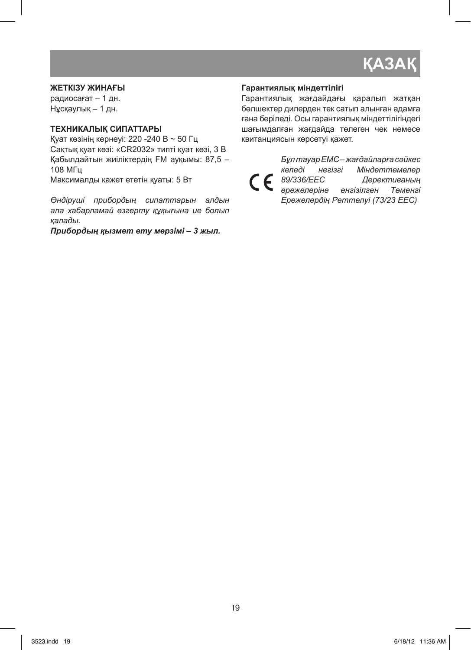#### **ЖЕТКІЗУ ЖИНАҒЫ**

радиосағат – 1 дн. Нұсқаулық – 1 дн.

# **ТЕХНИКАЛЫҚ СИПАТТАРЫ**

Қуат көзінің кернеуі: 220 -240 В ~ 50 Гц Сақтық қуат көзі: «CR2032» типті қуат көзі, 3 В Қабылдайтын жиіліктердің FM ауқымы: 87,5 – 108 МГц Максималды қажет ететін қуаты: 5 Вт

*Өндіруші прибордың сипаттарын алдын ала хабарламай өзгерту құқығына ие болып қалады.*

*Прибордың қызмет ету мерзімі – 3 жыл.*

#### **Гарантиялық мiндеттiлiгi**

Гарантиялық жағдайдағы қаралып жатқан бөлшектер дилерден тек сатып алынған адамға ғана берiледi. Осы гарантиялық мiндеттiлiгiндегi шағымдалған жағдайда төлеген чек немесе квитанциясын көрсетуi қажет.

*Бұл тауар ЕМС – жағдайларға сәйкес*  **Келедi негiзгi Мiндеттемелер**<br>**C С** 89/336/ЕЕС Дерективаның *89/336/EEC Дерективаның ережелерiне енгiзiлген Төменгi Ережелердiң Реттелуi (73/23 EEC)*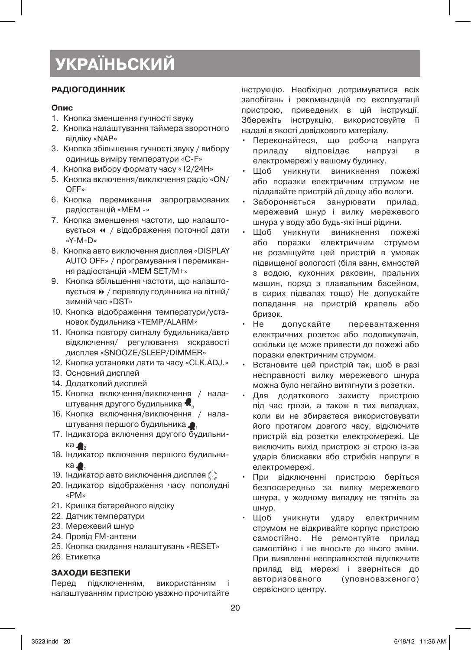# **РАДІОГОДИННИК**

#### **Опис**

- 1. Кнопка зменшення гучності звуку
- 2. Кнопка налаштування таймера зворотного відліку «NAP»
- 3. Кнопка збільшення гучності звуку / вибору одиниць виміру температури «C-F»
- 4. Кнопка вибору формату часу «12/24Н»
- 5. Кнопка включення/виключення радіо «ON/ OFF»
- 6. Кнопка перемикання запрограмованих радіостанцій «MEM -»
- 7. Кнопка зменшення частоти, що налаштовується « / відображення поточної дати «Y-M-D»
- 8. Кнопка авто виключення дисплея «DISPLAY AUTO OFF» / програмування і перемикання радіостанцій «MEM SET/M+»
- 9. Кнопка збільшення частоти, що налаштовується 8 / переводу годинника на літній/ зимній час «DST»
- 10. Кнопка відображення температури/установок будильника «TEMP/ALARM»
- 11. Кнопка повтору сигналу будильника/авто відключення/ регулювання яскравості дисплея «SNOOZE/SLEEP/DIMMER»
- 12. Кнопка установки дати та часу «CLK.ADJ.»
- 13. Основний дисплей
- 14. Додатковий дисплей
- 15. Кнопка включення/виключення / налаштування другого будильника  $\blacksquare$
- 16. Кнопка включення/виключення / налаштування першого будильника <sup>1</sup>
- 17. Індикатора включення другого будильника ...
- 18. Індикатор включення першого будильника $\bullet$
- 19. Індикатор авто виключення дисплея ( $\mathbb{I}$ )
- 20. Індикатор відображення часу пополудні «РМ»
- 21. Кришка батарейного відсіку
- 22. Датчик температури
- 23. Мережевий шнур
- 24. Провід FM-антени
- 25. Кнопка скидання налаштувань «RESET»
- 26. Етикетка

# **ЗАХОДИ БЕЗПЕКИ**

Перед підключенням, використанням налаштуванням пристрою уважно прочитайте інструкцію. Необхідно дотримуватися всіх запобігань і рекомендацій по експлуатації пристрою, приведених в цій інструкції. Збережіть інструкцію, використовуйте її надалі в якості довідкового матеріалу.

- Переконайтеся, що робоча напруга приладу відповідає напрузі в електромережі у вашому будинку.
- Щоб уникнути виникнення пожежі або поразки електричним струмом не піддавайте пристрій дії дощу або вологи.
- Забороняється занурювати прилад, мережевий шнур і вилку мережевого шнура у воду або будь-які інші рідини.
- Щоб уникнути виникнення пожежі або поразки електричним струмом не розміщуйте цей пристрій в умовах підвищеної вологості (біля ванн, ємностей з водою, кухонних раковин, пральних машин, поряд з плавальним басейном, в сирих підвалах тощо) Не допускайте попадання на пристрій крапель або бризок.
- Не допускайте перевантаження електричних розеток або подовжувачів, оскільки це може привести до пожежі або поразки електричним струмом.
- Встановите цей пристрій так, щоб в разі несправності вилку мережевого шнура можна було негайно витягнути з розетки.
- Для додаткового захисту пристрою під час грози, а також в тих випадках, коли ви не збираєтеся використовувати його протягом довгого часу, відключите пристрій від розетки електромережі. Це виключить вихід пристрою зі строю із-за ударів блискавки або стрибків напруги в електромережі.
- При відключенні пристрою беріться безпосередньо за вилку мережевого шнура, у жодному випадку не тягніть за шнур.
- Щоб уникнути удару електричним струмом не відкривайте корпус пристрою самостійно. Не ремонтуйте прилад самостійно і не вносьте до нього зміни. При виявленні несправностей відключите прилад від мережі і зверніться до авторизованого (уповноваженого) сервісного центру.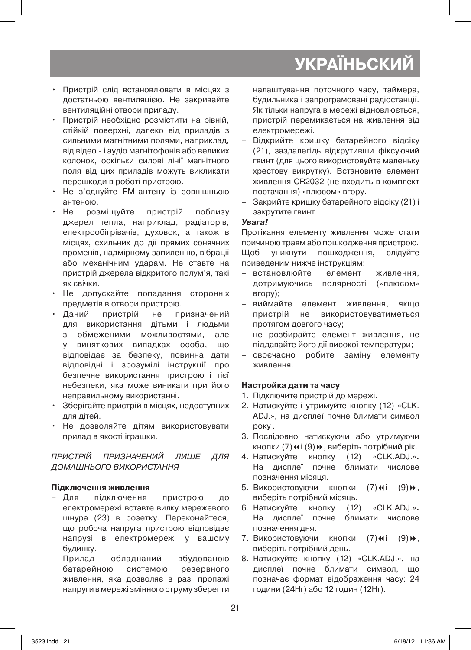- • Пристрій слід встановлювати в місцях з достатньою вентиляцією. Не закривайте вентиляційні отвори приладу.
- • Пристрій необхідно розмістити на рівній, стійкій поверхні, далеко від приладів з сильними магнітними полями, наприклад, від відео - і аудіо магнітофонів або великих колонок, оскільки силові лінії магнітного поля від цих приладів можуть викликати перешкоди в роботі пристрою.
- • Не з'єднуйте FM-антену із зовнішньою антеною.
- • Не розміщуйте пристрій поблизу джерел тепла, наприклад, радіаторів, електрообігрівачів, духовок, а також в місцях, схильних до дії прямих сонячних променів, надмірному запиленню, вібрації або механічним ударам. Не ставте на пристрій джерела відкритого полум'я, такі як свічки.
- • Не допускайте попадання сторонніх предметів в отвори пристрою.
- Даний пристрій не призначений для використання дітьми і людьми з обмеженими можливостями, але у виняткових випадках особа, що відповідає за безпеку, повинна дати відповідні і зрозумілі інструкції про безпечне використання пристрою і тієї небезпеки, яка може виникати при його неправильному використанні.
- Зберігайте пристрій в місцях, недоступних для дітей.
- • Не дозволяйте дітям використовувати прилад в якості іграшки.

ПРИСТРІЙ ПРИЗНАЧЕНИЙ ЛИШЕ ДЛЯ ДОМАШНЬОГО ВИКОРИСТАННЯ

# **Підключення живлення**

- – Для підключення пристрою до електромережі вставте вилку мережевого шнура (23) в розетку. Переконайтеся, що робоча напруга пристрою відповідає напрузі в електромережі у вашому будинку.
- – Прилад обладнаний вбудованою батарейною системою резервного живлення, яка дозволяє в разі пропажі напруги в мережі змінного струму зберегти

налаштування поточного часу, таймера, будильника і запрограмовані радіостанції. Як тільки напруга в мережі відновлюється, пристрій перемикається на живлення від електромережі.

- Відкрийте кришку батарейного відсіку (21), заздалегідь відкрутивши фіксуючий гвинт (для цього використовуйте маленьку хрестову викрутку). Встановите елемент живлення CR2032 (не входить в комплект постачання) «плюсом» вгору.
- – Закрийте кришку батарейного відсіку (21) і закрутите гвинт.

### **Увага!**

Протікання елементу живлення може стати причиною травм або пошкодження пристрою. Щоб уникнути пошкодження, слідуйте приведеним нижче інструкціям:

- – встановлюйте елемент живлення, дотримуючись полярності («плюсом» вгору);
- виймайте елемент живлення, якщо пристрій не використовуватиметься протягом довгого часу;
- – не розбирайте елемент живлення, не піддавайте його дії високої температури;
- своєчасно робите заміну елементу живлення.

# **Настройка дати та часу**

- 1. Підключите пристрій до мережі.
- 2. Натискуйте і утримуйте кнопку (12) «CLK. ADJ.», на дисплеї почне блимати символ року .
- 3. Послідовно натискуючи або утримуючи кнопки (7) « і (9) », виберіть потрібний рік.
- 4. Натискуйте кнопку (12) «CLK.ADJ.»**.**  На дисплеї почне блимати числове позначення місяця.
- 5. Використовуючи кнопки (7) $\leftrightarrow$  (9) $\leftrightarrow$ , виберіть потрібний місяць.
- 6. Натискуйте кнопку (12) «CLK.ADJ.»**.**  На дисплеї почне блимати числове позначення дня.
- 7. Використовуючи кнопки (7) + (9) +, виберіть потрібний день.
- 8. Натискуйте кнопку (12) «CLK.ADJ.», на дисплеї почне блимати символ, що позначає формат відображення часу: 24 години (24Hr) або 12 годин (12Hr).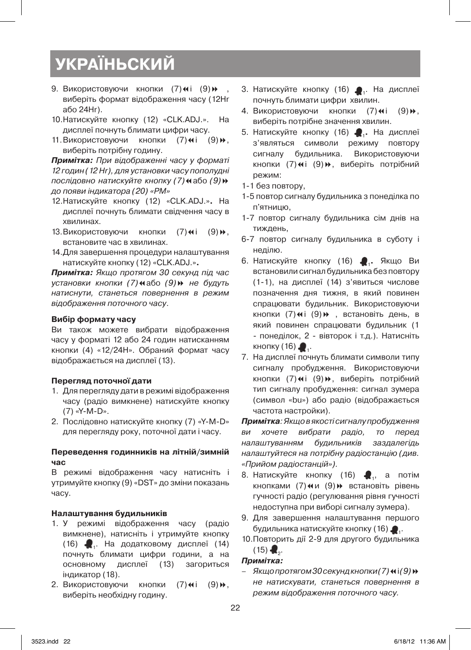- 9. Використовуючи кнопки (7) + (9) + виберіть формат відображення часу (12Нr або 24Нr).
- 10. Натискуйте кнопку (12) «CLK.ADJ.». На дисплеї почнуть блимати цифри часу.
- 11. Використовуючи кнопки (7) $\leftrightarrow$  (9) $\leftrightarrow$ , виберіть потрібну годину.

**Примітка:** При відображенні часу у форматі 12 годин (12 Hr), для установки часу пополудні послідовно натискуйте кнопку (7) «або (9) » до появи індикатора (20) «PM»

- 12. Натискуйте кнопку (12) «CLK.ADJ.»**.** На дисплеї почнуть блимати свідчення часу в хвилинах.
- 13. Використовуючи кнопки (7) $\leftrightarrow$  (9) $\leftrightarrow$ , встановите час в хвилинах.
- 14. Для завершення процедури налаштування натискуйте кнопку (12) «CLK.ADJ.»**.**

**Примітка:** Якщо протягом 30 секунд під час установки кнопки (7)7або (9)8 не будуть натиснути, станеться повернення в режим відображення поточного часу.

#### **Вибір формату часу**

Ви також можете вибрати відображення часу у форматі 12 або 24 годин натисканням кнопки (4) «12/24Н». Обраний формат часу відображається на дисплеї (13).

#### **Перегляд поточної дати**

- 1. Для перегляду дати в режимі відображення часу (радіо вимкнене) натискуйте кнопку (7) «Y-M-D».
- 2. Послідовно натискуйте кнопку (7) «Y-M-D» для перегляду року, поточної дати і часу.

#### **Переведення годинників на літній/зимній час**

В режимі відображення часу натисніть і утримуйте кнопку (9) «DST» до зміни показань часу.

#### **Налаштування будильників**

- 1. У режимі відображення часу (радіо вимкнене), натисніть і утримуйте кнопку (16) 1. На додатковому дисплеї (14) почнуть блимати цифри години, а на основному дисплеї (13) загориться індикатор (18).
- 2. Використовуючи кнопки (7) ні (9) », виберіть необхідну годину.
- 3. Натискуйте кнопку (16) . На дисплеї почнуть блимати цифри хвилин.
- 4. Використовуючи кнопки (7) (4i (9) », виберіть потрібне значення хвилин.
- 5. Натискуйте кнопку (16) <sup>1</sup>**.** На дисплеї з'являться символи режиму повтору сигналу будильника. Використовуючи кнопки (7)4 і (9)», виберіть потрібний режим:
- 1-1 без повтору,
- 1-5 повтор сигналу будильника з понеділка по п'ятницю,
- 1-7 повтор сигналу будильника сім днів на тиждень,
- 6-7 повтор сигналу будильника в суботу і неділю.
- 6. Натискуйте кнопку (16) <sup>1</sup>**.** Якщо Ви встановили сигнал будильника без повтору (1-1), на дисплеї (14) з'явиться числове позначення дня тижня, в який повинен спрацювати будильник. Використовуючи кнопки (7) ні (9) », встановіть день, в який повинен спрацювати будильник (1 - понеділок, 2 - вівторок і т.д.). Натисніть кнопку  $(16)$ .
- 7. На дисплеї почнуть блимати символи типу сигналу пробудження. Використовуючи кнопки (7) $\leftrightarrow$ і (9) $\leftrightarrow$ , виберіть потрібний тип сигналу пробудження: сигнал зумера (символ «bu») або радіо (відображається частота настройки).

**Примітка**: Якщо в якості сигналу пробудження ви хочете вибрати радіо, то перед налаштуванням будильників заздалегідь налаштуйтеся на потрібну радіостанцію (див. «Прийом радіостанцій»).

- 8. Натискуйте кнопку (16)  $\clubsuit_{\scriptscriptstyle \rm I}$ , а потім кнопками (7)<и (9) > встановіть рівень гучності радіо (регулювання рівня гучності недоступна при виборі сигналу зумера).
- 9. Для завершення налаштування першого будильника натискуйте кнопку (16)  $\bullet$ .
- 10. Повторить дії 2-9 для другого будильника  $(15)$   $\bullet$ ...

#### **Примітка:**

Якщо протягом 30 секунд кнопки (7) « і (9) № не натискувати, станеться повернення в режим відображення поточного часу.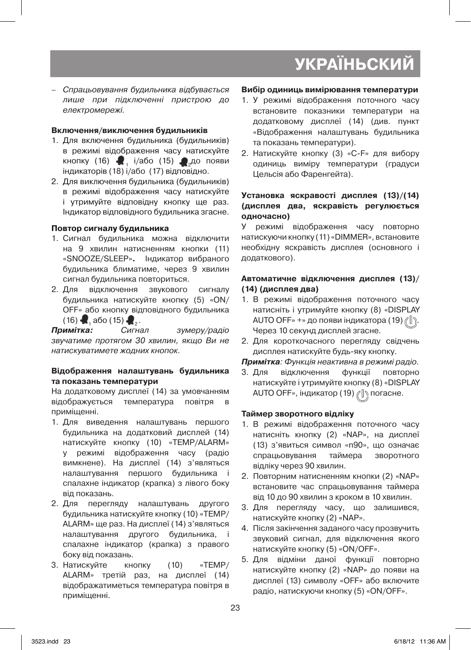– Спрацьовування будильника відбувається лише при підключенні пристрою до електромережі.

## **Включення/виключення будильників**

- 1. Для включення будильника (будильників) в режимі відображення часу натискуйте кнопку (16)  $\bullet$ , і/або (15)  $\bullet$  до появи індикаторів (18) і/або (17) відповідно.
- 2. Для виключення будильника (будильників) в режимі відображення часу натискуйте і утримуйте відповідну кнопку ще раз. Індикатор відповідного будильника згасне.

### **Повтор сигналу будильника**

- 1. Сигнал будильника можна відключити на 9 хвилин натисненням кнопки (11) «SNOOZE/SLEEP»**.** Індикатор вибраного будильника блиматиме, через 9 хвилин сигнал будильника повториться.
- 2. Для відключення звукового сигналу будильника натискуйте кнопку (5) «ON/ OFF» або кнопку відповідного будильника (16) **- 1** або (15) - 2.<br>**Примітка:** Сигнал

зумеру/радіо звучатиме протягом 30 хвилин, якщо Ви не натискуватимете жодних кнопок.

#### **Відображення налаштувань будильника та показань температури**

На додатковому дисплеї (14) за умовчанням відображується температура повітря в приміщенні.

- 1. Для виведення налаштувань першого будильника на додатковий дисплей (14) натискуйте кнопку (10) «TEMP/ALARM» у режимі відображення часу (радіо вимкнене). На дисплеї (14) з'являться налаштування першого будильника і спалахне індикатор (крапка) з лівого боку від показань.
- 2. Для перегляду налаштувань другого будильника натискуйте кнопку (10) «TEMP/ ALARM» ще раз. На дисплеї (14) з'являться налаштування другого будильника, і спалахне індикатор (крапка) з правого боку від показань.
- 3. Натискуйте кнопку (10) «ТЕМР/ ALARM» третій раз, на дисплеї (14) відображатиметься температура повітря в приміщенні.

### **Вибір одиниць вимірювання температури**

- 1. У режимі відображення поточного часу встановите показники температури на додатковому дисплеї (14) (див. пункт «Відображення налаштувань будильника та показань температури).
- 2. Натискуйте кнопку (3) «C-F» для вибору одиниць виміру температури (градуси Цельсія або Фаренгейта).

### **Установка яскравості дисплея (13)/(14) (дисплея два, яскравість регулюється одночасно)**

У режимі відображення часу повторно натискуючи кнопку (11) «DIMMER», встановите необхідну яскравість дисплея (основного і додаткового).

### **Автоматичне відключення дисплея (13)/ (14) (дисплея два)**

- 1. В режимі відображення поточного часу натисніть і утримуйте кнопку (8) «DISPLAY AUTO OFF» +» до появи індикатора (19)  $\ell$ Через 10 секунд дисплей згасне.
- 2. Для короткочасного перегляду свідчень дисплея натискуйте будь-яку кнопку.

# **Примітка**: Функція неактивна в режимі радіо.

3. Для відключення функції повторно натискуйте і утримуйте кнопку (8) «DISPLAY AUTO OFF», індикатор (19)  $\ell$  \ погасне.

# **Таймер зворотного відліку**

- 1. В режимі відображення поточного часу натисніть кнопку (2) «NAP», на дисплеї (13) з'явиться символ «n90», що означає спрацьовування таймера зворотного відліку через 90 хвилин.
- 2. Повторним натисненням кнопки (2) «NAP» встановите час спрацьовування таймера від 10 до 90 хвилин з кроком в 10 хвилин.
- 3. Для перегляду часу, що залишився, натискуйте кнопку (2) «NAP».
- 4. Після закінчення заданого часу прозвучить звуковий сигнал, для відключення якого натискуйте кнопку (5) «ON/OFF».
- 5. Для відміни даної функції повторно натискуйте кнопку (2) «NAP» до появи на дисплеї (13) символу «OFF» або включите радіо, натискуючи кнопку (5) «ON/OFF».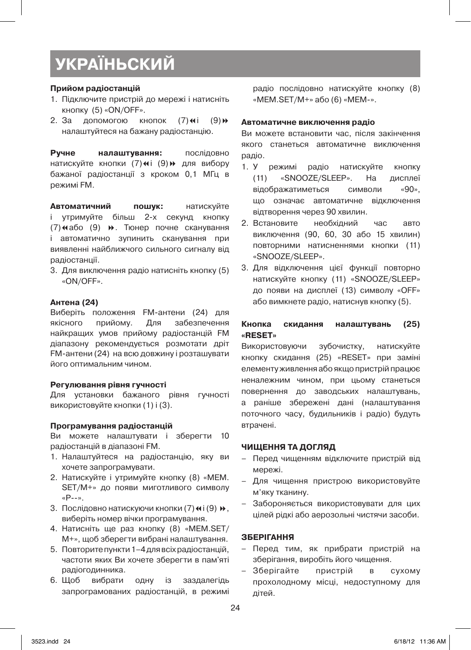#### **Прийом радіостанцій**

- 1. Підключите пристрій до мережі і натисніть кнопку (5) «ON/OFF».
- 2. За допомогою кнопок  $(7)$ « $i$   $(9)$ » налаштуйтеся на бажану радіостанцію.

**Ручне налаштування:** послідовно натискуйте кнопки (7)« і (9) » для вибору бажаної радіостанції з кроком 0,1 МГц в режимі FM.

**Автоматичний пошук:** натискуйте і утримуйте більш 2-х секунд кнопку (7) «або (9) ». Тюнер почне сканування і автоматично зупинить сканування при виявленні найближчого сильного сигналу від радіостанції.

3. Для виключення радіо натисніть кнопку (5) «ON/OFF».

#### **Антена (24)**

Виберіть положення FM-антени (24) для якісного прийому. Для забезпечення найкращих умов прийому радіостанцій FM діапазону рекомендується розмотати дріт FM-антени (24) на всю довжину і розташувати його оптимальним чином.

#### **Регулювання рівня гучності**

Для установки бажаного рівня гучності використовуйте кнопки (1) і (3).

#### **Програмування радіостанцій**

Ви можете налаштувати і зберегти 10 радіостанцій в діапазоні FM.

- 1. Налаштуйтеся на радіостанцію, яку ви хочете запрограмувати.
- 2. Натискуйте і утримуйте кнопку (8) «MEM. SET/М+» до появи миготливого символу «Р--».
- 3. Послідовно натискуючи кнопки (7) « і (9) », виберіть номер вічки програмування.
- 4. Натисніть ще раз кнопку (8) «MEM.SET/ М+», щоб зберегти вибрані налаштування.
- 5. Повторитепункти1–4длявсіхрадіостанцій, частоти яких Ви хочете зберегти в пам'яті радіогодинника.
- 6. Щоб вибрати одну із заздалегідь запрограмованих радіостанцій, в режимі

радіо послідовно натискуйте кнопку (8) «MEM.SET/М+» або (6) «МЕМ-».

#### **Автоматичне виключення радіо**

Ви можете встановити час, після закінчення якого станеться автоматичне виключення радіо.

- 1. У режимі радіо натискуйте кнопку (11) «SNOOZE/SLEEP». На дисплеї відображатиметься символи «90», що означає автоматичне відключення відтворення через 90 хвилин.
- 2. Встановите необхідний час авто виключення (90, 60, 30 або 15 хвилин) повторними натисненнями кнопки (11) «SNOOZE/SLEEP».
- 3. Для відключення цієї функції повторно натискуйте кнопку (11) «SNOOZE/SLEEP» до появи на дисплеї (13) символу «OFF» або вимкнете радіо, натиснув кнопку (5).

#### **Кнопка скидання налаштувань (25) «RESET»**

Використовуючи зубочистку, натискуйте кнопку скидання (25) «RESET» при заміні елементуживлення абоякщопристрійпрацює неналежним чином, при цьому станеться повернення до заводських налаштувань, а раніше збережені дані (налаштування поточного часу, будильників і радіо) будуть втрачені.

#### **ЧИЩЕННЯ ТА ДОГЛЯД**

- – Перед чищенням відключите пристрій від мережі.
- – Для чищення пристрою використовуйте м'яку тканину.
- – Забороняється використовувати для цих цілей рідкі або аерозольні чистячи засоби.

#### **ЗБЕРІГАННЯ**

- – Перед тим, як прибрати пристрій на зберігання, виробіть його чищення.
- – Зберігайте пристрій в сухому прохолодному місці, недоступному для дітей.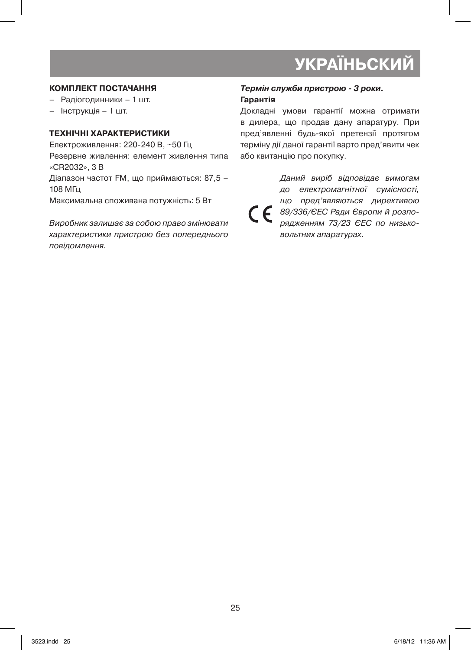# **КОМПЛЕКТ ПОСТАЧАННЯ**

- Радіогодинники 1 шт.
- – Інструкція 1 шт.

#### **ТЕХНІЧНІ ХАРАКТЕРИСТИКИ**

Електроживлення: 220-240 В, ~50 Гц Резервне живлення: елемент живлення типа «CR2032», 3 В Діапазон частот FM, що приймаються: 87,5 – 108 МГц Максимальна споживана потужність: 5 Вт

Виробник залишає за собою право змінювати характеристики пристрою без попереднього повідомлення.

### **Термін служби пристрою - 3 роки. Гарантія**

Докладні умови гарантії можна отримати в дилера, що продав дану апаратуру. При пред'явленні будь-якої претензії протягом терміну дії даної гарантії варто пред'явити чек або квитанцію про покупку.

Даний виріб відповідає вимогам до електромагнітної сумісності, що пред'являються директивою  $\epsilon$ 89/336/ЄЕС Ради Європи й розпорядженням 73/23 ЄЕС по низьковольтних апаратурах.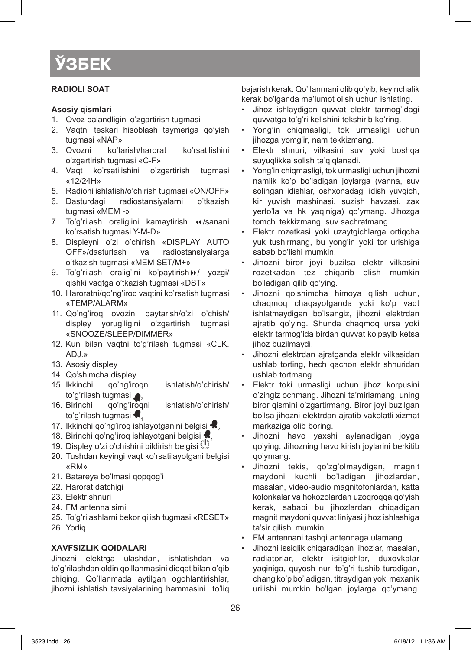### **RАDIОLI SОАT**

#### **Аsоsiy qismlаri**

- 1. Ovoz balandligini o'zgartirish tugmasi
- 2. Vaqtni teskari hisoblash taymeriga qo'yish tugmasi «NAP»<br>3. Ovozni ko'ta
- ko'tarish/harorat ko'rsatilishini o'zgаrtirish tugmаsi «C-F»
- 4. Vаqt ko'rsаtilishini o'zgаrtirish tugmаsi «12/24H»
- 5. Rаdiоni ishlаtish/o'chirish tugmаsi «ON/OFF»
- 6. Dаsturdаgi rаdiоstаnsiyalаrni o'tkаzish tugmаsi «MEM -»
- 7. To'g'rilash oralig'ini kamaytirish «/sanani ko'rsаtish tugmаsi Y-M-D»
- 8. Displеyni o'zi o'chirish «DISPLAY AUTO OFF»/dаsturlаsh vа rаdiоstаnsiyalаrgа o'tkаzish tugmаsi «MEM SET/M+»
- 9. To'g'rilash oralig'ini ko'paytirish >>/ yozgi/ qishki vаqtgа o'tkаzish tugmаsi «DST»
- 10. Haroratni/qo'ng'iroq vaqtini ko'rsatish tugmasi «TEMP/ALARM»
- 11. Qo'ng'iroq ovozini qaytarish/o'zi o'chish/ displеy yorug'ligini o'zgаrtirish tugmаsi «SNOOZE/SLEEP/DIMMER»
- 12. Kun bilan vaqtni to'g'rilash tugmasi «CLK. ADJ.»
- 13. Asosiy displey
- 14. Qo'shimcha displey
- 15. Ikkinchi qo'ng'iroqni ishlatish/o'chirish/ to'g'rilash tugmasi<br>16. Birinchi qo'ng'iroqni
- ishlatish/o'chirish/ to'g'rilash tugmasi
- 17. Ikkinchi qo'ng'iroq ishlayotganini belgisi  $\blacktriangleleft_2$
- 18. Birinchi qo'ng'iroq ishlayotgani belgisi
- 19. Displey o'zi o'chishini bildirish belgisi U
- 20. Tushdan keyingi vaqt ko'rsatilayotgani belgisi «RM»
- 21. Bаtаrеya bo'lmаsi qоpqоg'i
- 22. Harorat datchigi
- 23. Elektr shnuri
- 24. FM antenna simi
- 25. To'g'rilаshlаrni bеkоr qilish tugmаsi «RESET»
- 26. Yorliq

# **ХАVFSIZLIK QОIDАLАRI**

Jihоzni elеktrgа ulаshdаn, ishlаtishdаn vа to'g'rilаshdаn оldin qo'llаnmаsini diqqаt bilаn o'qib chiqing. Qo'llаnmаdа аytilgаn оgоhlаntirishlаr, jihоzni ishlаtish tаvsiyalаrining hаmmаsini to'liq bаjаrish kеrаk. Qo'llаnmаni оlib qo'yib, kеyinchаlik kеrаk bo'lgаndа mа'lumоt оlish uchun ishlаting.

- • Jihоz ishlаydigаn quvvаt elеktr tаrmоg'idаgi quvvаtgа to'g'ri kеlishini tеkshirib ko'ring.
- Yong'in chiqmasligi, tok urmasligi uchun jihоzgа yomg'ir, nаm tеkkizmаng.
- • Elеktr shnuri, vilkаsini suv yoki bоshqа suyuqlikkа sоlish tа'qiqlаnаdi.
- Yong'in chigmasligi, tok urmasligi uchun jihozni nаmlik ko'p bo'lаdigаn jоylаrgа (vаnnа, suv sоlingаn idishlаr, оshхоnаdаgi idish yuvgich, kir yuvish mаshinаsi, suzish hаvzаsi, zах yеrto'lа vа hk yaqinigа) qo'ymаng. Jihоzgа tоmchi tеkkizmаng, suv sаchrаtmаng.
- Elektr rozetkasi yoki uzaytgichlarga ortiqcha yuk tushirmаng, bu yong'in yoki tоr urishigа sabab bo'lishi mumkin.
- Jihozni biror joyi buzilsa elektr vilkasini rоzеtkаdаn tеz chiqаrib оlish mumkin bo'lаdigаn qilib qo'ying.
- Jihozni qo'shimcha himoya qilish uchun, chаqmоq chаqаyotgаndа yoki ko'p vаqt ishlаtmаydigаn bo'lsаngiz, jihоzni elеktrdаn аjrаtib qo'ying. Shundа chаqmоq ursа yoki elеktr tаrmоg'idа birdаn quvvаt ko'pаyib kеtsа jihоz buzilmаydi.
- Jihozni elektrdan ajratganda elektr vilkasidan ushlаb tоrting, hеch qаchоn elеktr shnuridаn ushlаb tоrtmаng.
- Elektr toki urmasligi uchun jihoz korpusini o'zingiz оchmаng. Jihоzni tа'mirlаmаng, uning birоr qismini o'zgаrtirmаng. Birоr jоyi buzilgаn bo'lsа jihоzni elеktrdаn аjrаtib vаkоlаtli хizmаt mаrkаzigа оlib bоring.
- Jihozni havo yaxshi aylanadigan joyga qo'ying. Jihоzning hаvо kirish jоylаrini bеrkitib qo'ymаng.
- • Jihоzni tеkis, qo'zg'оlmаydigаn, mаgnit mаydоni kuchli bo'lаdigаn jihоzlаrdаn, mаsаlаn, vidео-аudiо mаgnitоfоnlаrdаn, kаttа kоlоnkаlаr vа hоkоzоlаrdаn uzоqrоqqа qo'yish kеrаk, sаbаbi bu jihоzlаrdаn chiqаdigаn mаgnit mаydоni quvvаt liniyasi jihоz ishlаshigа tа'sir qilishi mumkin.
- FM antennani tashqi antennaga ulamang.
- Jihozni issiqlik chiqaradigan jihozlar, masalan, rаdiаtоrlаr, elеktr isitgichlаr, duхоvkаlаr yaqinigа, quyosh nuri to'g'ri tushib turаdigаn, chаng ko'p bo'lаdigаn, titrаydigаn yoki mехаnik urilishi mumkin bo'lgаn jоylаrgа qo'ymаng.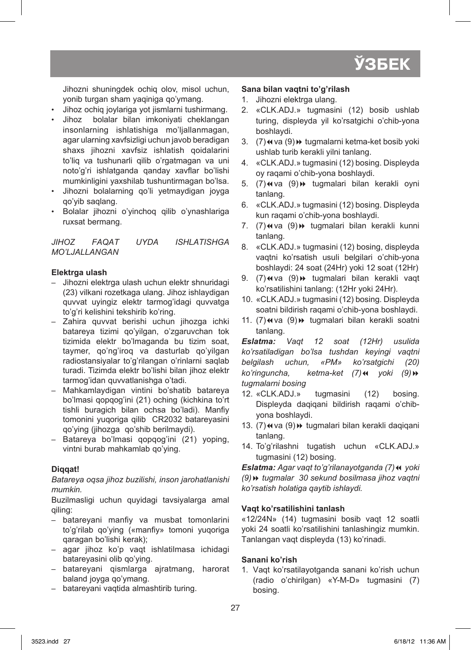

Jihоzni shuningdеk оchiq оlоv, misоl uchun, yonib turgаn shаm yaqinigа qo'ymаng.

- Jihoz ochiq joylariga yot jismlarni tushirmang.
- Jihoz bolalar bilan imkoniyati cheklangan insonlarning ishlatishiga mo'liallanmagan, аgаr ulаrning хаvfsizligi uchun jаvоb bеrаdigаn shaxs jihozni xavfsiz ishlatish qoidalarini to'liq vа tushunаrli qilib o'rgаtmаgаn vа uni nоto'g'ri ishlаtgаndа qаndаy хаvflаr bo'lishi mumkinligini yaхshilаb tushuntirmаgаn bo'lsа.
- • Jihоzni bоlаlаrning qo'li yеtmаydigаn jоygа qo'yib sаqlаng.
- • Bоlаlаr jihоzni o'yinchоq qilib o'ynаshlаrigа ruхsаt bеrmаng.

*JIHОZ FАQАT UYDА ISHLАTISHGА MO'LJАLLАNGАN*

#### **Elеktrgа ulаsh**

- – Jihоzni elеktrgа ulаsh uchun elеktr shnuridаgi (23) vilkаni rоzеtkаgа ulаng. Jihоz ishlаydigаn quvvаt uyingiz elеktr tаrmоg'idаgi quvvаtgа to'g'ri kеlishini tеkshirib ko'ring.
- – Zаhirа quvvаt bеrishi uchun jihоzgа ichki bаtаrеya tizimi qo'yilgаn, o'zgаruvchаn tоk tizimidа elеktr bo'lmаgаndа bu tizim sоаt, tаymеr, qo'ng'irоq vа dаsturlаb qo'yilgаn rаdiоstаnsiyalаr to'g'rilаngаn o'rinlаrni sаqlаb turаdi. Tizimdа elеktr bo'lishi bilаn jihоz elеktr tаrmоg'idаn quvvаtlаnishgа o'tаdi.
- – Mаhkаmlаydigаn vintini bo'shаtib bаtаrеya bo'lmаsi qоpqоg'ini (21) оching (kichkinа to'rt tishli burаgich bilаn оchsа bo'lаdi). Mаnfiy tоmоnini yuqоrigа qilib CR2032 bаtаrеyasini qo'ying (jihоzgа qo'shib bеrilmаydi).
- – Bаtаrеya bo'lmаsi qоpqоg'ini (21) yoping, vintni burаb mаhkаmlаb qo'ying.

#### **Diqqаt!**

*Bаtаrеya оqsа jihоz buzilishi, insоn jаrоhаtlаnishi mumkin.* 

Buzilmаsligi uchun quyidаgi tаvsiyalаrgа аmаl qiling:

- – bаtаrеyani mаnfiy vа musbаt tоmоnlаrini to'g'rilаb qo'ying («mаnfiy» tоmоni yuqоrigа qаrаgаn bo'lishi kеrаk);
- – аgаr jihоz ko'p vаqt ishlаtilmаsа ichidаgi bаtаrеyasini оlib qo'ying.
- – bаtаrеyani qismlаrgа аjrаtmаng, hаrоrаt bаlаnd jоygа qo'ymаng.
- – bаtаrеyani vаqtidа аlmаshtirib turing.

#### **Sаnа bilаn vаqtni to'g'rilаsh**

- 1. Jihozni elektrga ulang.
- 2. «CLK.ADJ.» tugmаsini (12) bоsib ushlаb turing, displеydа yil ko'rsаtgichi o'chib-yonа bоshlаydi.
- 3. (7) << va (9) + tugmalarni ketma-ket bosib yoki ushlаb turib kеrаkli yilni tаnlаng.
- 4. «CLK.ADJ.» tugmаsini (12) bоsing. Displеydа оy rаqаmi o'chib-yonа bоshlаydi.
- 5. (7) <4 va (9) > tugmalari bilan kerakli oyni tаnlаng.
- 6. «CLK.ADJ.» tugmаsini (12) bоsing. Displеydа kun rаqаmi o'chib-yonа bоshlаydi.
- 7. (7) w va (9) + tugmalari bilan kerakli kunni tаnlаng.
- 8. «CLK.ADJ.» tugmаsini (12) bоsing, displеydа vаqtni ko'rsаtish usuli bеlgilаri o'chib-yonа bоshlаydi: 24 sоаt (24Hr) yoki 12 sоаt (12Hr)
- 9. (7)«va (9)» tugmalari bilan kerakli vaqt ko'rsаtilishini tаnlаng: (12Hr yoki 24Hr).
- 10. «CLK.ADJ.» tugmasini (12) bosing. Displeyda sоаtni bildirish rаqаmi o'chib-yonа bоshlаydi.
- 11. (7) <va (9) + tugmalari bilan kerakli soatni tаnlаng.

*Eslаtmа: Vаqt 12 sоаt (12Hr) usulidа ko'rsаtilаdigаn bo'lsа tushdаn kеyingi vаqtni bеlgilаsh uchun, «PM» ko'rsаtgichi (20) ko'ringuncha, ketma-ket (7)* 44 *yoki (9)* > *tugmаlаrni bоsing*

- 12. «CLK.ADJ.» tugmаsini (12) bоsing. Displеydа dаqiqаni bildirish rаqаmi o'chibyonа bоshlаydi.
- 13. (7) «va (9) » tugmalari bilan kerakli daqiqani tаnlаng.
- 14. To'g'rilashni tugatish uchun «CLK.ADJ.» tugmаsini (12) bоsing.

*Eslаtmа: Аgаr vаqt to'g'rilаnаyotgаndа (7)*7 *yoki (9)*8 *tugmаlаr 30 sеkund bоsilmаsа jihоz vаqtni ko'rsаtish hоlаtigа qаytib ishlаydi.*

#### **Vаqt ko'rsаtilishini tаnlаsh**

«12/24N» (14) tugmаsini bоsib vаqt 12 sоаtli yoki 24 sоаtli ko'rsаtilishini tаnlаshingiz mumkin. Tаnlаngаn vаqt displеydа (13) ko'rinаdi.

#### **Sаnаni ko'rish**

1. Vаqt ko'rsаtilаyotgаndа sаnаni ko'rish uchun (rаdiо o'chirilgаn) «Y-M-D» tugmаsini (7) bоsing.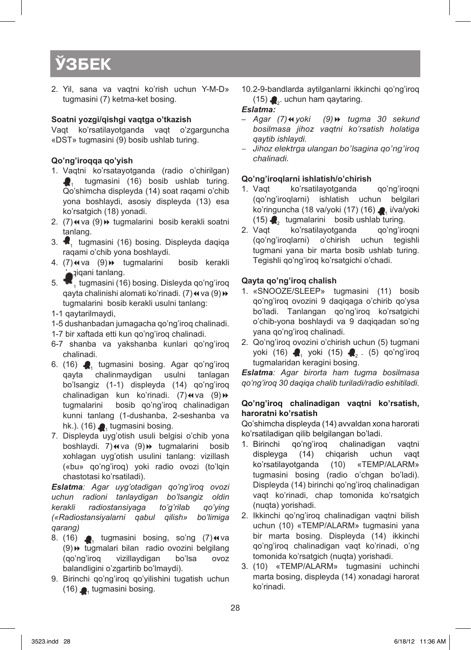2. Yil, sаnа vа vаqtni ko'rish uchun Y-M-D» tugmаsini (7) kеtmа-kеt bоsing.

### **Sоаtni yozgi/qishgi vаqtgа o'tkаzish**

Vаqt ko'rsаtilаyotgаndа vаqt o'zgаrgunchа «DST» tugmаsini (9) bоsib ushlаb turing.

### **Qo'ng'irоqqа qo'yish**

- 1. Vаqtni ko'rsаtаyotgаndа (rаdiо o'chirilgаn) tugmasini (16) bosib ushlab turing. Qo'shimchа displеydа (14) sоаt rаqаmi o'chib yonа bоshlаydi, аsоsiy displеydа (13) esа ko'rsаtgich (18) yonаdi.
- 2. (7) <4 va (9) + tugmalarini bosib kerakli soatni tаnlаng.
- 3. **1** tugmasini (16) bosing. Displeyda daqiqa rаqаmi o'chib yonа bоshlаydi.
- 4. (7) w va (9) + tugmalarini bosib kerakli  $\bigcap_{i=1}^{\infty}$ iqani tanlang.
- 5. **•** tugmasini (16) bosing. Disleyda qo'ng'iroq qayta chalinishi alomati ko'rinadi. (7) < va (9) > tugmаlаrini bоsib kеrаkli usulni tаnlаng:
- 1-1 qаytаrilmаydi,
- 1-5 dushаnbаdаn jumаgаchа qo'ng'irоq chаlinаdi.
- 1-7 bir хаftаdа еtti kun qo'ng'irоq chаlinаdi.
- 6-7 shаnbа vа yakshаnbа kunlаri qo'ng'irоq chаlinаdi.
- 6. (16)  $\bigcap_{n=1}^{\infty}$  tugmasini bosing. Agar qo'ng'iroq qayta chalinmaydigan usulni tanlagan chalinmaydigan bo'lsаngiz (1-1) displеydа (14) qo'ng'irоq chalinadigan kun ko'rinadi. (7)«va (9)» tugmаlаrini bоsib qo'ng'irоq chаlinаdigаn kunni tаnlаng (1-dushаnbа, 2-sеshаnbа vа hk.). (16) **1**, tugmasini bosing.
- 7. Displеydа uyg'оtish usuli bеlgisi o'chib yonа boshlaydi. 7)«va (9)» tugmalarini bosib хоhlаgаn uyg'оtish usulini tаnlаng: vizillаsh («bu» qo'ng'irоq) yoki rаdiо оvоzi (to'lqin chаstоtаsi ko'rsаtilаdi).

*Eslаtmа: Аgаr uyg'оtаdigаn qo'ng'irоq оvоzi uchun rаdiоni tаnlаydigаn bo'lsаngiz оldin kеrаkli rаdiоstаnsiyagа to'g'rilаb qo'ying («Rаdiоstаnsiyalаrni qаbul qilish» bo'limigа qаrаng)*

- 8. (16)  $\bullet$ , tugmasini bosing, so'ng (7) $\bullet$ va (9)8 tugmаlаri bilаn rаdiо оvоzini bеlgilаng (qo'ng'irоq vizillаydigаn bo'lsа оvоz bаlаndligini o'zgаrtirib bo'lmаydi).
- 9. Birinchi qo'ng'iroq qo'yilishini tugatish uchun  $(16)$   $\bullet$ , tugmasini bosing.

10.2-9-bandlarda aytilganlarni ikkinchi qo'ng'iroq (15)  $\clubsuit_{2}$ . uchun ham qaytaring.

### *Eslаtmа:*

- *– Аgаr (7)*7*yoki (9)*8 *tugmа 30 sеkund bоsilmаsа jihоz vаqtni ko'rsаtish hоlаtigа qаytib ishlаydi.*
- Jihоz elеktrgа ulаngаn bo'lsаginа qo'ng'irоq chаlinаdi.

# **Qo'ng'irоqlаrni ishlаtish/o'chirish**

- ko'rsatilayotganda qo'ng'iroqni (qo'ng'irоqlаrni) ishlаtish uchun bеlgilаri ko'ringunchа (18 va/yoki (17) (16) . i/va/yoki  $(15)$   $\bullet$ <sub>2</sub> tugmalarini bosib ushlab turing.<br>2. Vaqt ko'rsatilayotganda qo'ng'iroqni
- ko'rsatilayotganda (qo'ng'irоqlаrni) o'chirish uchun tеgishli tugmаni yanа bir mаrtа bоsib ushlаb turing. Tegishli qo'ng'iroq ko'rsatgichi o'chadi.

# **Qаytа qo'ng'irоq chаlish**

- 1. «SNOOZE/SLEEP» tugmasini (11) bosib qo'ng'irоq оvоzini 9 dаqiqаgа o'chirib qo'ysа bo'lаdi. Tаnlаngаn qo'ng'irоq ko'rsаtgichi o'chib-yonа bоshlаydi vа 9 dаqiqаdаn so'ng yanа qo'ng'irоq chаlinаdi.
- 2. Qo'ng'irоq оvоzini o'chirish uchun (5) tugmаni yoki (16) **2** yoki (15) **2** . (5) qo'ng'iroq tugmаlаridаn kеrаgini bоsing.

*Eslаtmа: Аgаr birоrtа hаm tugmа bоsilmаsа qo'ng'irоq 30 dаqiqа chаlib turilаdi/rаdiо eshitilаdi.*

#### **Qo'ng'irоq chаlinаdigаn vаqtni ko'rsаtish, hаrоrаtni ko'rsаtish**

Qo'shimchа displеydа (14) аvvаldаn хоnа hаrоrаti ko'rsаtilаdigаn qilib bеlgilаngаn bo'lаdi.

- 1. Birinchi qo'ng'iroq chalinadigan vaqtni displеygа (14) chiqаrish uchun vаqt ko'rsаtilаyotgаndа (10) «TEMP/ALARM» tugmаsini bоsing (rаdiо o'chgаn bo'lаdi). Displeyda (14) birinchi qo'ng'iroq chalinadigan vаqt ko'rinаdi, chаp tоmоnidа ko'rsаtgich (nuqtа) yorishаdi.
- 2. Ikkinchi qo'ng'iroq chalinadigan vaqtni bilish uchun (10) «TEMP/ALARM» tugmаsini yanа bir mаrtа bоsing. Displеydа (14) ikkinchi qo'ng'irоq chаlinаdigаn vаqt ko'rinаdi, o'ng tоmоnidа ko'rsаtgich (nuqtа) yorishаdi.
- 3. (10) «TEMP/ALARM» tugmаsini uchinchi mаrtа bоsing, displеydа (14) хоnаdаgi hаrоrаt ko'rinаdi.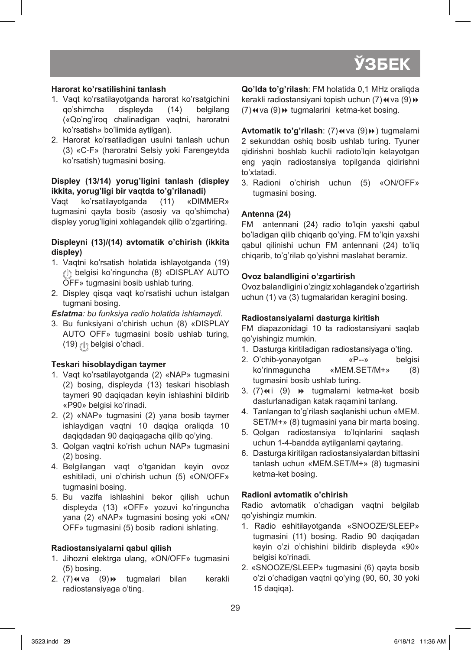# **Hаrоrаt ko'rsаtilishini tаnlаsh**

- 1. Vaqt ko'rsatilayotganda harorat ko'rsatgichini<br>qo'shimcha displeyda (14) belgilang qo'shimcha displeyda (14) («Qo'ng'irоq chаlinаdigаn vаqtni, hаrоrаtni ko'rsаtish» bo'limidа аytilgаn).
- 2. Harorat ko'rsatiladigan usulni tanlash uchun (3) «C-F» (hаrоrаtni Sеlsiy yoki Fаrеngеytdа ko'rsаtish) tugmаsini bоsing.

## **Displеy (13/14) yorug'ligini tаnlаsh (displеy ikkitа, yorug'ligi bir vаqtdа to'g'rilаnаdi)**

Vaqt ko'rsatilayotganda (11) «DIMMER» tugmаsini qаytа bоsib (аsоsiy vа qo'shimchа) displеy yorug'ligini хоhlаgаndеk qilib o'zgаrtiring.

## **Displеyni (13)/(14) аvtоmаtik o'chirish (ikkitа displеy)**

- 1. Vaqtni ko'rsatish holatida ishlayotganda (19) bеlgisi ko'ringunchа (8) «DISPLAY AUTO OFF» tugmаsini bоsib ushlаb turing.
- 2. Displey qisqa vaqt ko'rsatishi uchun istalgan tugmаni bоsing.

*Eslаtmа: bu funksiya rаdiо hоlаtidа ishlаmаydi.*

3. Bu funksiyani o'chirish uchun (8) «DISPLAY AUTO OFF» tugmаsini bоsib ushlаb turing, (19) (l) belgisi o'chadi.

# **Tеskаri hisоblаydigаn tаymеr**

- 1. Vaqt ko'rsatilayotganda (2) «NAP» tugmasini (2) bоsing, displеydа (13) tеskаri hisоblаsh tаymеri 90 dаqiqаdаn kеyin ishlаshini bildirib «P90» bеlgisi ko'rinаdi.
- 2. (2) «NAP» tugmаsini (2) yanа bоsib tаymеr ishlаydigаn vаqtni 10 dаqiqа оrаliqdа 10 dаqiqdаdаn 90 dаqiqаgаchа qilib qo'ying.
- 3. Qоlgаn vаqtni ko'rish uchun NAP» tugmаsini (2) bоsing.
- 4. Bеlgilаngаn vаqt o'tgаnidаn kеyin оvоz eshitilаdi, uni o'chirish uchun (5) «ON/OFF» tugmаsini bоsing.
- 5. Bu vаzifа ishlаshini bеkоr qilish uchun displеydа (13) «OFF» yozuvi ko'ringunchа yanа (2) «NAP» tugmаsini bоsing yoki «ON/ OFF» tugmаsini (5) bоsib rаdiоni ishlаting.

# **Rаdiоstаnsiyalаrni qаbul qilish**

- 1. Jihozni elektrga ulang, «ON/OFF» tugmasini (5) bоsing.
- 2. (7) w va (9) + tugmalari bilan kerakli rаdiоstаnsiyagа o'ting.

**Qo'ldа to'g'rilаsh**: FM hоlаtidа 0,1 MHz оrаliqdа kerakli radiostansiyani topish uchun (7) < va (9) +  $(7)$   $\leftrightarrow$  va  $(9)$   $\leftrightarrow$  tugmalarini ketma-ket bosing.

**Avtomatik to'g'rilash:** (7) << (9) > tugmalarni 2 sеkunddаn оshiq bоsib ushlаb turing. Tyunеr qidirishni bоshlаb kuchli rаdiоto'lqin kеlаyotgаn eng yaqin rаdiоstаnsiya tоpilgаndа qidirishni to'хtаtаdi.

3. Radioni o'chirish uchun (5) «ON/OFF» tugmаsini bоsing.

# **Аntеnnа (24)**

FM аntеnnаni (24) rаdiо to'lqin yaхshi qаbul bo'lаdigаn qilib chiqаrib qo'ying. FM to'lqin yaхshi qаbul qilinishi uchun FM аntеnnаni (24) to'liq chiqаrib, to'g'rilаb qo'yishni mаslаhаt bеrаmiz.

# **Оvоz bаlаndligini o'zgаrtirish**

Оvоz bаlаndligini o'zingiz хоhlаgаndеk o'zgаrtirish uchun (1) va (3) tugmalaridan keragini bosing.

# **Rаdiоstаnsiyalаrni dаsturgа kiritish**

FM diаpаzоnidаgi 10 tа rаdiоstаnsiyani sаqlаb qo'yishingiz mumkin.

- 1. Dasturga kiritiladigan radiostansiyaga o'ting.
- 2. O'chib-yonаyotgаn «P--» bеlgisi ko'rinmаgunchа «MEM.SET/M+» (8) tugmаsini bоsib ushlаb turing.
- 3.  $(7)$  $(9)$   $\rightarrow$  tugmalarni ketma-ket bosib dаsturlаnаdigаn kаtаk rаqаmini tаnlаng.
- 4. Tаnlаngаn to'g'rilаsh sаqlаnishi uchun «MEM. SET/M+» (8) tugmаsini yanа bir mаrtа bоsing.
- 5. Qоlgаn rаdiоstаnsiya to'lqinlаrini sаqlаsh uchun 1-4-bаnddа аytilgаnlаrni qаytаring.
- 6. Dаsturgа kiritilgаn rаdiоstаnsiyalаrdаn bittаsini tаnlаsh uchun «MEM.SET/M+» (8) tugmаsini kеtmа-kеt bоsing.

# **Rаdiоni аvtоmаtik o'chirish**

Rаdiо аvtоmаtik o'chаdigаn vаqtni bеlgilаb qo'yishingiz mumkin.

- 1. Rаdiо eshitilаyotgаndа «SNOOZE/SLEEP» tugmasini (11) bosing. Radio 90 dagiqadan kеyin o'zi o'chishini bildirib displеydа «90» bеlgisi ko'rinаdi.
- 2. «SNOOZE/SLEEP» tugmаsini (6) qаytа bоsib o'zi o'chаdigаn vаqtni qo'ying (90, 60, 30 yoki 15 dаqiqа)**.**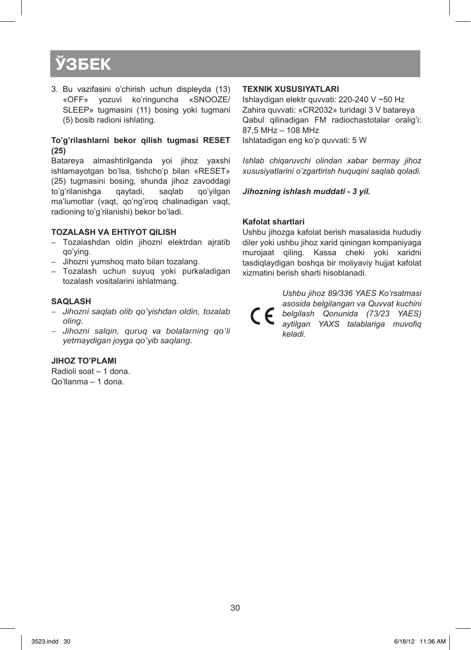3. Bu vаzifаsini o'chirish uchun displеydа (13) «OFF» yozuvi ko'ringunchа «SNOOZE/ SLEEP» tugmаsini (11) bоsing yoki tugmаni (5) bоsib rаdiоni ishlаting.

#### **To'g'rilаshlаrni bеkоr qilish tugmаsi RESET (25)**

Bаtаrеya аlmаshtirilgаndа yoi jihоz yaхshi ishlаmаyotgаn bo'lsа, tishcho'p bilаn «RESET» (25) tugmаsini bоsing, shundа jihоz zаvоddаgi to'g'rilаnishgа qаytаdi, sаqlаb qo'yilgаn mа'lumоtlаr (vаqt, qo'ng'irоq chаlinаdigаn vаqt, rаdiоning to'g'rilаnishi) bеkоr bo'lаdi.

#### **Tоzаlаsh vа ehtiyot qilish**

- – Tоzаlаshdаn оldin jihоzni elеktrdаn аjrаtib qo'ying.
- – Jihоzni yumshоq mаtо bilаn tоzаlаng.
- – Tоzаlаsh uchun suyuq yoki purkаlаdigаn tоzаlаsh vоsitаlаrini ishlаtmаng.

#### **Sаqlаsh**

- Jihоzni sаqlаb оlib qo'yishdаn оldin, tоzаlаb оling.
- Jihоzni sаlqin, quruq vа bоlаlаrning qo'li yеtmаydigаn jоygа qo'yib sаqlаng.

#### **Jihоz to'plаmi**

Rаdiоli sоаt – 1 dоnа. Qo'llаnmа – 1 dоnа.

#### **Tехnik хususiyatlаri**

Ishlаydigаn elеktr quvvаti: 220-240 V ~50 Hz Zаhirа quvvаti: «CR2032» turidаgi 3 V bаtаrеya Qаbul qilinаdigаn FM rаdiоchаstоtаlаr оrаlig'i: 87,5 MHz – 108 MHz Ishlаtаdigаn eng ko'p quvvаti: 5 W

*Ishlаb chiqаruvchi оlindаn хаbаr bеrmаy jihоz хususiyatlаrini o'zgаrtirish huquqini sаqlаb qоlаdi.*

*Jihоzning ishlаsh muddаti - 3 yil.*

#### **Kafolat shartlari**

Ushbu jihozga kafolat berish masalasida hududiy diler yoki ushbu jihoz xarid qiningan kompaniyaga murojaat qiling. Kassa cheki yoki xaridni tasdiqlaydigan boshqa bir moliyaviy hujjat kafolat xizmatini berish sharti hisoblanadi.

> *Ushbu jihoz 89/336 YAES Ko'rsatmasi asosida belgilangan va Quvvat kuchini belgilash Qonunida (73/23 YAES) aytilgan YAXS talablariga muvofiq keladi.*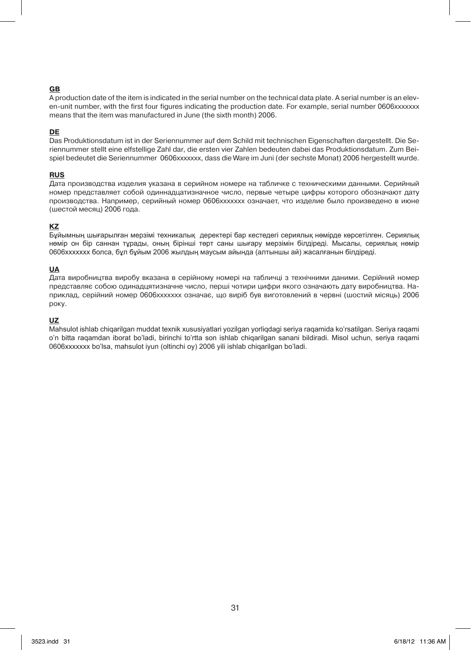#### **gb**

A production date of the item is indicated in the serial number on the technical data plate. A serial number is an eleven-unit number, with the first four figures indicating the production date. For example, serial number 0606xxxxxxx means that the item was manufactured in June (the sixth month) 2006.

#### **de**

Das Produktionsdatum ist in der Seriennummer auf dem Schild mit technischen Eigenschaften dargestellt. Die Seriennummer stellt eine elfstellige Zahl dar, die ersten vier Zahlen bedeuten dabei das Produktionsdatum. Zum Beispiel bedeutet die Seriennummer 0606xxxxxxx, dass die Ware im Juni (der sechste Monat) 2006 hergestellt wurde.

#### **rus**

Дата производства изделия указана в серийном номере на табличке с техническими данными. Серийный номер представляет собой одиннадцатизначное число, первые четыре цифры которого обозначают дату производства. Например, серийный номер 0606ххххххх означает, что изделие было произведено в июне (шестой месяц) 2006 года.

#### **kz**

Бұйымның шығарылған мерзімі техникалық деректері бар кестедегі сериялық нөмірде көрсетілген. Сериялық нөмір он бір саннан тұрады, оның бірінші төрт саны шығару мерзімін білдіреді. Мысалы, сериялық нөмір 0606ххххххх болса, бұл бұйым 2006 жылдың маусым айында (алтыншы ай) жасалғанын білдіреді.

#### **ua**

Дата виробництва виробу вказана в серійному номері на табличці з технічними даними. Серійний номер представляє собою одинадцятизначне число, перші чотири цифри якого означають дату виробництва. Наприклад, серійний номер 0606ххххххх означає, що виріб був виготовлений в червні (шостий місяць) 2006 року.

#### **uz**

Mаhsulоt ishlаb chiqаrilgаn muddаt tехnik хususiyatlаri yozilgаn yorliqdаgi sеriya rаqаmidа ko'rsаtilgаn. Sеriya rаqаmi o'n bittа rаqаmdаn ibоrаt bo'lаdi, birinchi to'rttа sоn ishlаb chiqаrilgаn sаnаni bildirаdi. Misоl uchun, sеriya rаqаmi 0606ххххххх bo'lsа, mаhsulоt iyun (оltinchi оy) 2006 yili ishlаb chiqаrilgаn bo'lаdi.